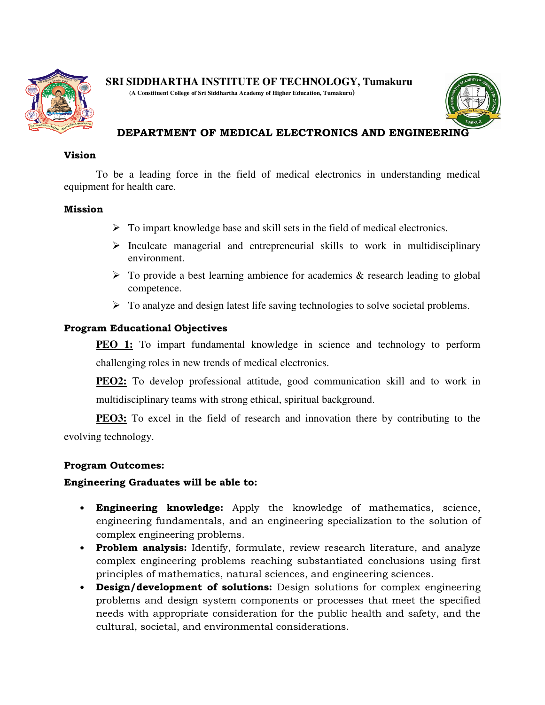

 $(A$  Constituent College of Sri Siddhartha Academy of Higher Education, Tumakuru)



# **DEPARTMENT OF MEDICAL ELECTRONICS AND ENGINEER**

#### **Vision**

To be a leading force in the field of medical electronics in understanding medical equipment for health care.

#### **Mission**

- $\triangleright$  To impart knowledge base and skill sets in the field of medical electronics.
- $\triangleright$  Inculcate managerial and entrepreneurial skills to work in multidisciplinary environment.
- $\triangleright$  To provide a best learning ambience for academics & research leading to global competence.
- $\triangleright$  To analyze and design latest life saving technologies to solve societal problems.

## **Program Educational Objectives Objectives**

**PEO 1:** To impart fundamental knowledge in science and technology to perform challenging roles in new trends of medical electronics.

**PEO2:** To develop professional attitude, good communication skill and to work in multidisciplinary teams with strong ethical, spiritual background. new trends of medical electronics.<br>
op professional attitude, good communication skill and to work in<br>
eams with strong ethical, spiritual background.<br>
in the field of research and innovation there by contributing to the

**PEO3:** To excel in the field of research and innovation there by contributing to the evolving technology.

## **Program Outcomes:**

## **Engineering Graduates will be able to:**

- **Engineering knowledge:** Apply the knowledge of mathematics, science, engineering fundamentals, and an engineering specialization to the solution of complex engineering problems. **ishede to:**<br> **health and an** engineering specialization to the southematics, als, and an engineering specialization to the southems.<br>
htify, formulate, review research literature, and oblems reaching substantiated conclus
- **Problem analysis:** Identify, formulate, review research literature, and analyze engineering fundamentals, and an engineering specialization to the solution of<br>complex engineering problems.<br>**Problem analysis:** Identify, formulate, review research literature, and analyze<br>complex engineering problems rea principles of mathematics, natural sciences, and engineering sciences.
- **Design/development of solutions:** Design solutions for complex engineering problems and design system components or processes that meet the specified needs with appropriate consideration for the public health and safety, and the cultural, societal, and environmental considerations.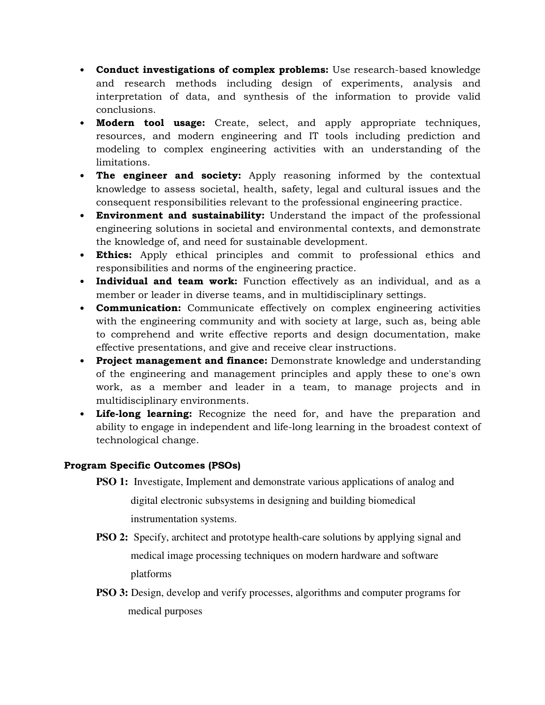- **Conduct investigations of complex problems:** Use research-based knowledge and research methods including design of experiments, analysis and interpretation of data, and synthesis of the information to provide valid conclusions.
- **Modern tool usage:** Create, select, and apply appropriate techniques, resources, and modern engineering and IT tools including prediction and modeling to complex engineering activities with an understanding of the limitations.
- **The engineer and society:** Apply reasoning informed by the contextual knowledge to assess societal, health, safety, legal and cultural issues and the consequent responsibilities relevant to the professional engineering practice.
- **Environment and sustainability:** Understand the impact of the professional engineering solutions in societal and environmental contexts, and demonstrate the knowledge of, and need for sustainable development.
- **Ethics:** Apply ethical principles and commit to professional ethics and responsibilities and norms of the engineering practice.
- **Individual and team work:** Function effectively as an individual, and as a member or leader in diverse teams, and in multidisciplinary settings.
- **Communication:** Communicate effectively on complex engineering activities with the engineering community and with society at large, such as, being able to comprehend and write effective reports and design documentation, make effective presentations, and give and receive clear instructions.
- **Project management and finance:** Demonstrate knowledge and understanding of the engineering and management principles and apply these to one's own work, as a member and leader in a team, to manage projects and in multidisciplinary environments.
- **Life-long learning:** Recognize the need for, and have the preparation and ability to engage in independent and life-long learning in the broadest context of technological change.

## **Program Specific Outcomes (PSOs)**

- **PSO 1:** Investigate, Implement and demonstrate various applications of analog and digital electronic subsystems in designing and building biomedical instrumentation systems.
- **PSO 2:** Specify, architect and prototype health-care solutions by applying signal and medical image processing techniques on modern hardware and software platforms
- **PSO 3:** Design, develop and verify processes, algorithms and computer programs for medical purposes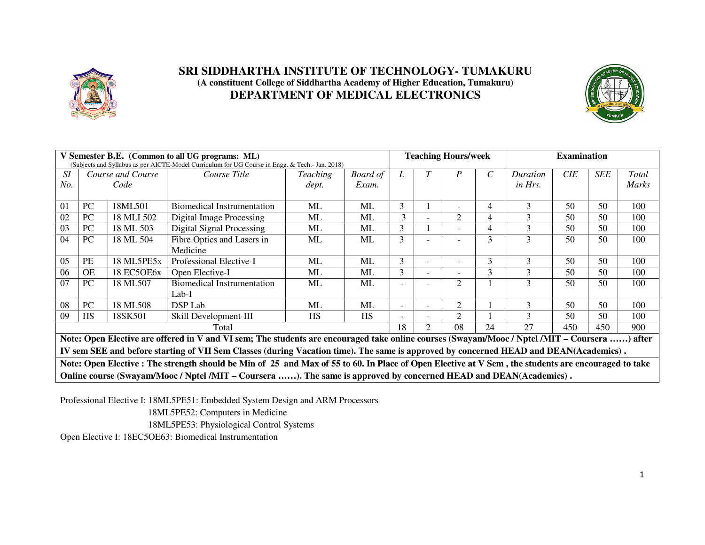

## **SRI SIDDHARTHA INSTITUTE OF TECHNOLOGY- TUMAKURU (A constituent College of Siddhartha Academy of Higher Education, Tumakuru) DEPARTMENT OF MEDICAL ELECTRONICS**



| V Semester B.E. (Common to all UG programs: ML)                                                                                               |                                                                                                                                                     |                   |                                   |                 |                 | <b>Teaching Hours/week</b> |                          |                          | <b>Examination</b>          |          |            |            |              |
|-----------------------------------------------------------------------------------------------------------------------------------------------|-----------------------------------------------------------------------------------------------------------------------------------------------------|-------------------|-----------------------------------|-----------------|-----------------|----------------------------|--------------------------|--------------------------|-----------------------------|----------|------------|------------|--------------|
|                                                                                                                                               | (Subjects and Syllabus as per AICTE-Model Curriculum for UG Course in Engg. & Tech.- Jan. 2018)                                                     |                   |                                   |                 |                 |                            |                          |                          |                             |          |            |            |              |
| SI                                                                                                                                            |                                                                                                                                                     | Course and Course | Course Title                      | <i>Teaching</i> | <b>Board</b> of | L                          |                          | P                        | $\mathcal{C}_{\mathcal{C}}$ | Duration | <b>CIE</b> | <b>SEE</b> | Total        |
| No.                                                                                                                                           |                                                                                                                                                     | Code              |                                   | dept.           | Exam.           |                            |                          |                          |                             | in Hrs.  |            |            | <b>Marks</b> |
|                                                                                                                                               |                                                                                                                                                     |                   |                                   |                 |                 |                            |                          |                          |                             |          |            |            |              |
| 01                                                                                                                                            | PC                                                                                                                                                  | 18ML501           | <b>Biomedical Instrumentation</b> | ML              | ML              | 3                          |                          | $\overline{\phantom{0}}$ | 4                           | 3        | 50         | 50         | 100          |
| 02                                                                                                                                            | <b>PC</b>                                                                                                                                           | 18 MLI 502        | Digital Image Processing          | ML              | ML              | 3                          |                          | 2                        | 4                           | 3        | 50         | 50         | 100          |
| 03                                                                                                                                            | PC                                                                                                                                                  | 18 ML 503         | Digital Signal Processing         | ML              | ML              | 3                          |                          | $\overline{\phantom{0}}$ | 4                           | 3        | 50         | 50         | 100          |
| 04                                                                                                                                            | PC                                                                                                                                                  | 18 ML 504         | Fibre Optics and Lasers in        | ML              | ML              | 3                          |                          |                          | 3                           | 3        | 50         | 50         | 100          |
|                                                                                                                                               |                                                                                                                                                     |                   | Medicine                          |                 |                 |                            |                          |                          |                             |          |            |            |              |
| 05                                                                                                                                            | PE                                                                                                                                                  | 18 ML5PE5x        | Professional Elective-I           | ML              | ML              | 3                          | $\overline{\phantom{a}}$ | $\overline{\phantom{0}}$ | 3                           | 3        | 50         | 50         | 100          |
| 06                                                                                                                                            | <b>OE</b>                                                                                                                                           | 18 EC5OE6x        | Open Elective-I                   | ML              | ML              | 3                          | $\overline{\phantom{0}}$ | $\overline{\phantom{0}}$ | 3                           | 3        | 50         | 50         | 100          |
| 07                                                                                                                                            | PC                                                                                                                                                  | 18 ML507          | <b>Biomedical Instrumentation</b> | ML              | ML              |                            |                          | $\overline{2}$           |                             | 3        | 50         | 50         | 100          |
|                                                                                                                                               |                                                                                                                                                     |                   | $Lab-I$                           |                 |                 |                            |                          |                          |                             |          |            |            |              |
| 08                                                                                                                                            | <b>PC</b>                                                                                                                                           | 18 ML508          | DSP Lab                           | ML              | ML              | $\overline{\phantom{0}}$   | ۰                        | 2                        |                             | 3        | 50         | 50         | 100          |
| 09                                                                                                                                            | <b>HS</b>                                                                                                                                           | 18SK501           | Skill Development-III             | HS              | <b>HS</b>       |                            | $\overline{\phantom{a}}$ | $\overline{2}$           |                             | 3        | 50         | 50         | 100          |
|                                                                                                                                               | 18<br>$\mathfrak{D}$<br>08<br>24<br>27<br>450<br>900<br>450<br>Total                                                                                |                   |                                   |                 |                 |                            |                          |                          |                             |          |            |            |              |
| Note: Open Elective are offered in V and VI sem; The students are encouraged take online courses (Swayam/Mooc / Nptel /MIT – Coursera ) after |                                                                                                                                                     |                   |                                   |                 |                 |                            |                          |                          |                             |          |            |            |              |
| IV sem SEE and before starting of VII Sem Classes (during Vacation time). The same is approved by concerned HEAD and DEAN(Academics).         |                                                                                                                                                     |                   |                                   |                 |                 |                            |                          |                          |                             |          |            |            |              |
|                                                                                                                                               | Note: Open Elective : The strength should be Min of 25 and Max of 55 to 60. In Place of Open Elective at V Sem, the students are encouraged to take |                   |                                   |                 |                 |                            |                          |                          |                             |          |            |            |              |
|                                                                                                                                               | Online course (Swayam/Mooc / Nptel /MIT – Coursera ). The same is approved by concerned HEAD and DEAN(Academics).                                   |                   |                                   |                 |                 |                            |                          |                          |                             |          |            |            |              |

Professional Elective I: 18ML5PE51: Embedded System Design and ARM Processors

18ML5PE52: Computers in Medicine

18ML5PE53: Physiological Control Systems

Open Elective I: 18EC5OE63: Biomedical Instrumentation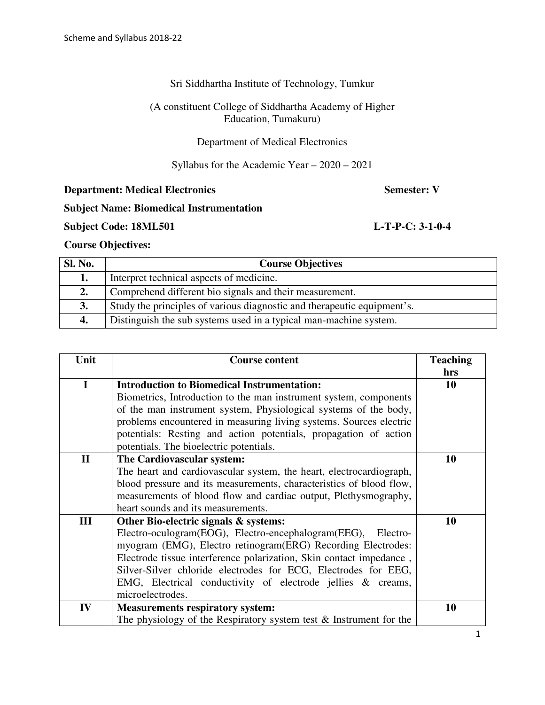### (A constituent College of Siddhartha Academy of Higher Education, Tumakuru)

#### Department of Medical Electronics

## Syllabus for the Academic Year – 2020 – 2021

### **Department: Medical Electronics Semester: V**

## **Subject Name: Biomedical Instrumentation**

## **Subject Code: 18ML501 L-T-P-C: 3-1-0-4**

| <b>Sl. No.</b> | <b>Course Objectives</b>                                                |
|----------------|-------------------------------------------------------------------------|
| ı.             | Interpret technical aspects of medicine.                                |
| 2.             | Comprehend different bio signals and their measurement.                 |
| 3.             | Study the principles of various diagnostic and therapeutic equipment's. |
| 4.             | Distinguish the sub systems used in a typical man-machine system.       |

| Unit         | <b>Course content</b>                                                 | <b>Teaching</b> |  |  |  |  |
|--------------|-----------------------------------------------------------------------|-----------------|--|--|--|--|
|              |                                                                       | hrs             |  |  |  |  |
| I            | <b>Introduction to Biomedical Instrumentation:</b>                    |                 |  |  |  |  |
|              | Biometrics, Introduction to the man instrument system, components     |                 |  |  |  |  |
|              | of the man instrument system, Physiological systems of the body,      |                 |  |  |  |  |
|              | problems encountered in measuring living systems. Sources electric    |                 |  |  |  |  |
|              | potentials: Resting and action potentials, propagation of action      |                 |  |  |  |  |
|              | potentials. The bioelectric potentials.                               |                 |  |  |  |  |
| $\mathbf{I}$ | The Cardiovascular system:                                            | 10              |  |  |  |  |
|              | The heart and cardiovascular system, the heart, electrocardiograph,   |                 |  |  |  |  |
|              | blood pressure and its measurements, characteristics of blood flow,   |                 |  |  |  |  |
|              | measurements of blood flow and cardiac output, Plethysmography,       |                 |  |  |  |  |
|              | heart sounds and its measurements.                                    |                 |  |  |  |  |
| Ш            | Other Bio-electric signals & systems:                                 | 10              |  |  |  |  |
|              | Electro-oculogram(EOG), Electro-encephalogram(EEG),<br>Electro-       |                 |  |  |  |  |
|              | myogram (EMG), Electro retinogram (ERG) Recording Electrodes:         |                 |  |  |  |  |
|              | Electrode tissue interference polarization, Skin contact impedance,   |                 |  |  |  |  |
|              | Silver-Silver chloride electrodes for ECG, Electrodes for EEG,        |                 |  |  |  |  |
|              | EMG, Electrical conductivity of electrode jellies & creams,           |                 |  |  |  |  |
|              | microelectrodes.                                                      |                 |  |  |  |  |
| IV           | <b>Measurements respiratory system:</b>                               | 10              |  |  |  |  |
|              | The physiology of the Respiratory system test $\&$ Instrument for the |                 |  |  |  |  |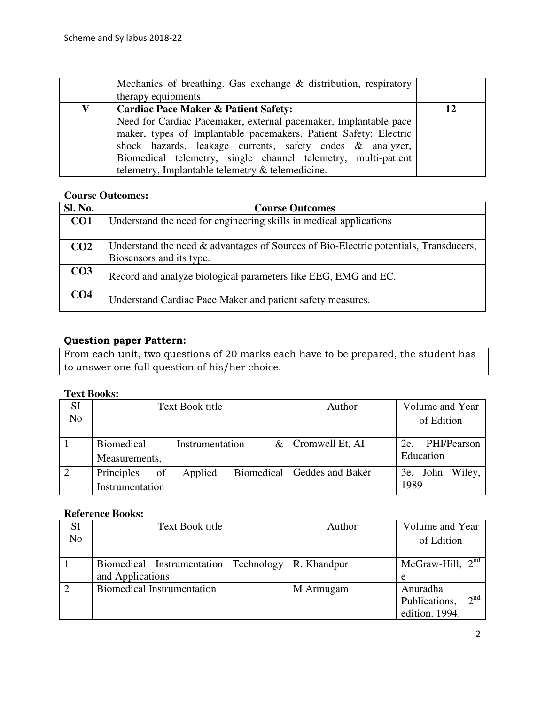|   | Mechanics of breathing. Gas exchange $\&$ distribution, respiratory |  |
|---|---------------------------------------------------------------------|--|
|   | therapy equipments.                                                 |  |
| V | <b>Cardiac Pace Maker &amp; Patient Safety:</b>                     |  |
|   | Need for Cardiac Pacemaker, external pacemaker, Implantable pace    |  |
|   | maker, types of Implantable pacemakers. Patient Safety: Electric    |  |
|   | shock hazards, leakage currents, safety codes & analyzer,           |  |
|   | Biomedical telemetry, single channel telemetry, multi-patient       |  |
|   | telemetry, Implantable telemetry & telemedicine.                    |  |

| <b>Sl. No.</b>  | <b>Course Outcomes</b>                                                               |
|-----------------|--------------------------------------------------------------------------------------|
| CO <sub>1</sub> | Understand the need for engineering skills in medical applications                   |
|                 |                                                                                      |
| CO <sub>2</sub> | Understand the need & advantages of Sources of Bio-Electric potentials, Transducers, |
|                 | Biosensors and its type.                                                             |
| CO <sub>3</sub> | Record and analyze biological parameters like EEG, EMG and EC.                       |
| CO <sub>4</sub> | Understand Cardiac Pace Maker and patient safety measures.                           |

## **Question paper Pattern:**

From each unit, two questions of 20 marks each have to be prepared, the student has to answer one full question of his/her choice.

## **Text Books:**

| <b>SI</b>      |                   |    | Text Book title |   | Author                        |           | Volume and Year |
|----------------|-------------------|----|-----------------|---|-------------------------------|-----------|-----------------|
| N <sub>o</sub> |                   |    |                 |   | of Edition                    |           |                 |
|                |                   |    |                 |   |                               |           |                 |
|                | <b>Biomedical</b> |    | Instrumentation | & | Cromwell Et, AI               | 2e.       | PHI/Pearson     |
|                | Measurements,     |    |                 |   |                               | Education |                 |
|                | Principles        | of | Applied         |   | Biomedical   Geddes and Baker |           | 3e, John Wiley, |
|                | Instrumentation   |    |                 |   |                               | 1989      |                 |

| <b>SI</b>      | Text Book title                       | Author      | Volume and Year                  |
|----------------|---------------------------------------|-------------|----------------------------------|
| N <sub>o</sub> |                                       |             | of Edition                       |
|                |                                       |             |                                  |
|                | Biomedical Instrumentation Technology | R. Khandpur | McGraw-Hill, $2nd$               |
|                | and Applications                      |             | e                                |
| 2              | <b>Biomedical Instrumentation</b>     | M Armugam   | Anuradha                         |
|                |                                       |             | 2 <sup>nd</sup><br>Publications, |
|                |                                       |             | edition. 1994.                   |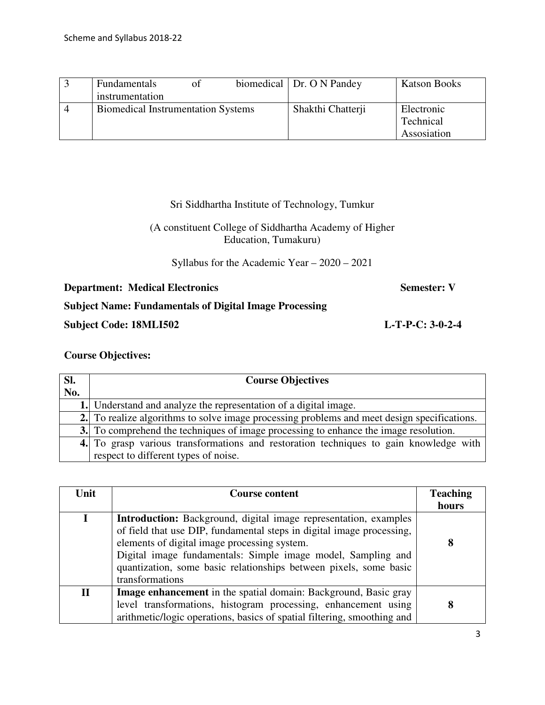| Fundamentals                              | of | biomedical   Dr. O N Pandey | <b>Katson Books</b> |
|-------------------------------------------|----|-----------------------------|---------------------|
| instrumentation                           |    |                             |                     |
| <b>Biomedical Instrumentation Systems</b> |    | Shakthi Chatterji           | Electronic          |
|                                           |    |                             | Technical           |
|                                           |    |                             | Assosiation         |

## (A constituent College of Siddhartha Academy of Higher Education, Tumakuru)

Syllabus for the Academic Year – 2020 – 2021

**Department: Medical Electronics Semester: V** Semester: V

# **Subject Name: Fundamentals of Digital Image Processing**

**Subject Code: 18MLI502 L-T-P-C: 3-0-2-4** 

| Sl. | <b>Course Objectives</b>                                                                    |
|-----|---------------------------------------------------------------------------------------------|
| No. |                                                                                             |
|     | 1. Understand and analyze the representation of a digital image.                            |
|     | 2. To realize algorithms to solve image processing problems and meet design specifications. |
|     | 3. To comprehend the techniques of image processing to enhance the image resolution.        |
|     | 4. To grasp various transformations and restoration techniques to gain knowledge with       |
|     | respect to different types of noise.                                                        |

| Unit         | <b>Course content</b>                                                                                                                                                                                                                                                                                                                             | <b>Teaching</b> |
|--------------|---------------------------------------------------------------------------------------------------------------------------------------------------------------------------------------------------------------------------------------------------------------------------------------------------------------------------------------------------|-----------------|
|              |                                                                                                                                                                                                                                                                                                                                                   | hours           |
|              | Introduction: Background, digital image representation, examples<br>of field that use DIP, fundamental steps in digital image processing,<br>elements of digital image processing system.<br>Digital image fundamentals: Simple image model, Sampling and<br>quantization, some basic relationships between pixels, some basic<br>transformations | 8               |
| $\mathbf{I}$ | <b>Image enhancement</b> in the spatial domain: Background, Basic gray<br>level transformations, histogram processing, enhancement using<br>arithmetic/logic operations, basics of spatial filtering, smoothing and                                                                                                                               |                 |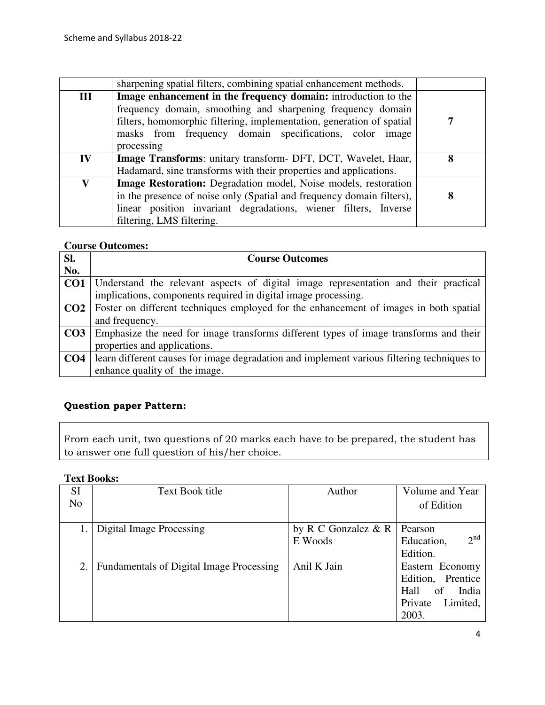|     | sharpening spatial filters, combining spatial enhancement methods.                                                                                                                                                                                                                   |   |  |  |
|-----|--------------------------------------------------------------------------------------------------------------------------------------------------------------------------------------------------------------------------------------------------------------------------------------|---|--|--|
| III | Image enhancement in the frequency domain: introduction to the<br>frequency domain, smoothing and sharpening frequency domain<br>filters, homomorphic filtering, implementation, generation of spatial<br>7<br>masks from frequency domain specifications, color image<br>processing |   |  |  |
| IV  | Image Transforms: unitary transform- DFT, DCT, Wavelet, Haar,                                                                                                                                                                                                                        | 8 |  |  |
|     | Hadamard, sine transforms with their properties and applications.                                                                                                                                                                                                                    |   |  |  |
| V   | <b>Image Restoration:</b> Degradation model, Noise models, restoration<br>in the presence of noise only (Spatial and frequency domain filters),<br>linear position invariant degradations, wiener filters, Inverse<br>filtering, LMS filtering.                                      | 8 |  |  |

| SI.             | <b>Course Outcomes</b>                                                                             |
|-----------------|----------------------------------------------------------------------------------------------------|
| No.             |                                                                                                    |
| CO1             | Understand the relevant aspects of digital image representation and their practical                |
|                 | implications, components required in digital image processing.                                     |
|                 | <b>CO2</b>   Foster on different techniques employed for the enhancement of images in both spatial |
|                 | and frequency.                                                                                     |
| CO <sub>3</sub> | Emphasize the need for image transforms different types of image transforms and their              |
|                 | properties and applications.                                                                       |
| CO <sub>4</sub> | learn different causes for image degradation and implement various filtering techniques to         |
|                 | enhance quality of the image.                                                                      |

## **Question paper Pattern:**

From each unit, two questions of 20 marks each have to be prepared, the student has to answer one full question of his/her choice.

#### **Text Books:**

| <b>SI</b>      | Text Book title                                 | Author                         | Volume and Year                                                                             |
|----------------|-------------------------------------------------|--------------------------------|---------------------------------------------------------------------------------------------|
| N <sub>o</sub> |                                                 |                                | of Edition                                                                                  |
| 1.             | Digital Image Processing                        | by R C Gonzalez & R<br>E Woods | Pearson<br>$2^{nd}$<br>Education,<br>Edition.                                               |
| 2.             | <b>Fundamentals of Digital Image Processing</b> | Anil K Jain                    | Eastern Economy<br>Edition, Prentice<br>India<br>Hall<br>of<br>Private<br>Limited,<br>2003. |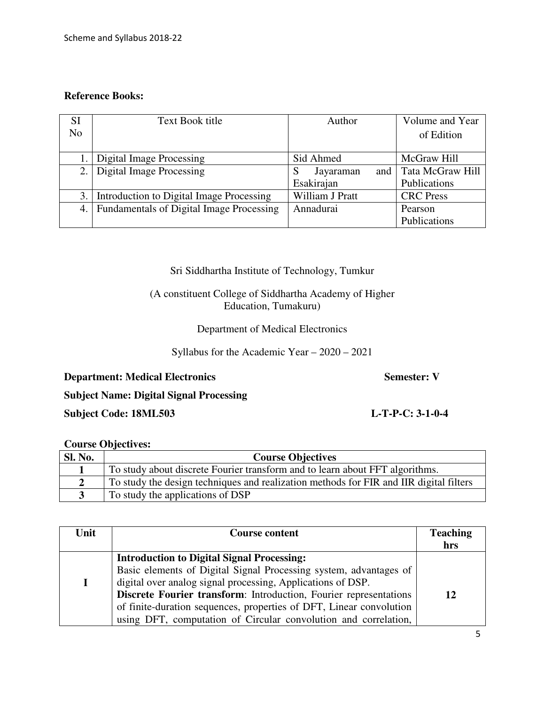#### **Reference Books:**

| <b>SI</b>      | Text Book title                          | Author                | Volume and Year  |
|----------------|------------------------------------------|-----------------------|------------------|
| N <sub>0</sub> |                                          |                       | of Edition       |
|                |                                          |                       |                  |
|                | Digital Image Processing                 | Sid Ahmed             | McGraw Hill      |
| 2.             | <b>Digital Image Processing</b>          | Jayaraman<br>S<br>and | Tata McGraw Hill |
|                |                                          | Esakirajan            | Publications     |
| 3.             | Introduction to Digital Image Processing | William J Pratt       | <b>CRC</b> Press |
| 4.             | Fundamentals of Digital Image Processing | Annadurai             | Pearson          |
|                |                                          |                       | Publications     |

Sri Siddhartha Institute of Technology, Tumkur

(A constituent College of Siddhartha Academy of Higher Education, Tumakuru)

Department of Medical Electronics

Syllabus for the Academic Year – 2020 – 2021

**Department: Medical Electronics Semester: V** 

**Subject Name: Digital Signal Processing** 

**Subject Code: 18ML503 L-T-P-C: 3-1-0-4**

| Sl. No. | <b>Course Objectives</b>                                                               |
|---------|----------------------------------------------------------------------------------------|
|         | To study about discrete Fourier transform and to learn about FFT algorithms.           |
|         | To study the design techniques and realization methods for FIR and IIR digital filters |
|         | To study the applications of DSP                                                       |

| Unit     | <b>Course content</b>                                                                                                                                                                                                                                                                                                                                                                                | <b>Teaching</b><br>hrs |
|----------|------------------------------------------------------------------------------------------------------------------------------------------------------------------------------------------------------------------------------------------------------------------------------------------------------------------------------------------------------------------------------------------------------|------------------------|
| $\bf{I}$ | <b>Introduction to Digital Signal Processing:</b><br>Basic elements of Digital Signal Processing system, advantages of<br>digital over analog signal processing, Applications of DSP.<br>Discrete Fourier transform: Introduction, Fourier representations<br>of finite-duration sequences, properties of DFT, Linear convolution<br>using DFT, computation of Circular convolution and correlation, | 12                     |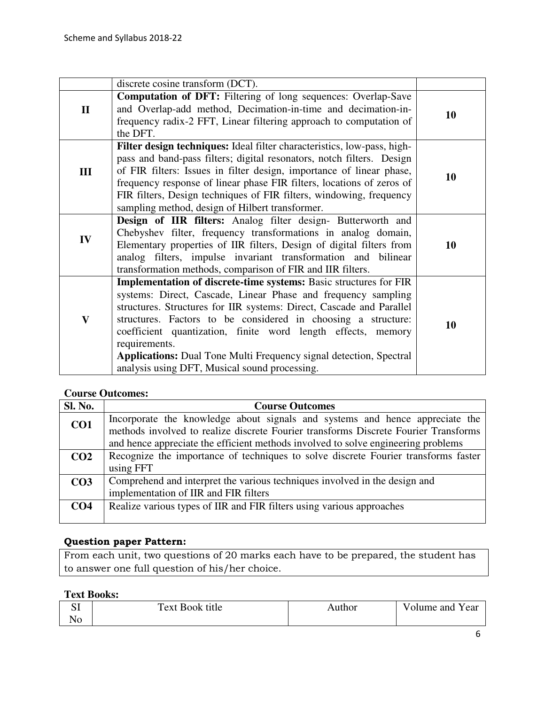|              | discrete cosine transform (DCT).                                                                                                                                                                                                                                                                                                                                                                                                                                                                  |    |
|--------------|---------------------------------------------------------------------------------------------------------------------------------------------------------------------------------------------------------------------------------------------------------------------------------------------------------------------------------------------------------------------------------------------------------------------------------------------------------------------------------------------------|----|
| $\mathbf{I}$ | <b>Computation of DFT:</b> Filtering of long sequences: Overlap-Save<br>and Overlap-add method, Decimation-in-time and decimation-in-<br>frequency radix-2 FFT, Linear filtering approach to computation of<br>the DFT.                                                                                                                                                                                                                                                                           | 10 |
| Ш            | Filter design techniques: Ideal filter characteristics, low-pass, high-<br>pass and band-pass filters; digital resonators, notch filters. Design<br>of FIR filters: Issues in filter design, importance of linear phase,<br>frequency response of linear phase FIR filters, locations of zeros of<br>FIR filters, Design techniques of FIR filters, windowing, frequency<br>sampling method, design of Hilbert transformer.                                                                       | 10 |
| IV           | Design of IIR filters: Analog filter design- Butterworth and<br>Chebyshev filter, frequency transformations in analog domain,<br>Elementary properties of IIR filters, Design of digital filters from<br>analog filters, impulse invariant transformation and bilinear<br>transformation methods, comparison of FIR and IIR filters.                                                                                                                                                              | 10 |
| $\mathbf{V}$ | <b>Implementation of discrete-time systems: Basic structures for FIR</b><br>systems: Direct, Cascade, Linear Phase and frequency sampling<br>structures. Structures for IIR systems: Direct, Cascade and Parallel<br>structures. Factors to be considered in choosing a structure:<br>coefficient quantization, finite word length effects, memory<br>requirements.<br><b>Applications:</b> Dual Tone Multi Frequency signal detection, Spectral<br>analysis using DFT, Musical sound processing. | 10 |

| <b>Sl. No.</b>  | <b>Course Outcomes</b>                                                              |
|-----------------|-------------------------------------------------------------------------------------|
| CO1             | Incorporate the knowledge about signals and systems and hence appreciate the        |
|                 | methods involved to realize discrete Fourier transforms Discrete Fourier Transforms |
|                 | and hence appreciate the efficient methods involved to solve engineering problems   |
| CO <sub>2</sub> | Recognize the importance of techniques to solve discrete Fourier transforms faster  |
|                 | using FFT                                                                           |
| CO <sub>3</sub> | Comprehend and interpret the various techniques involved in the design and          |
|                 | implementation of IIR and FIR filters                                               |
| CO <sub>4</sub> | Realize various types of IIR and FIR filters using various approaches               |
|                 |                                                                                     |

## **Question paper Pattern:**

From each unit, two questions of 20 marks each have to be prepared, the student has to answer one full question of his/her choice.

### **Text Books:**

| $\sim$ $\sim$<br>ບ⊥ | $\overline{ }$<br>`ext<br>title<br><b>BOOK</b> | $ -$<br>Y ear<br>and<br>olume. |
|---------------------|------------------------------------------------|--------------------------------|
| N <sub>0</sub>      |                                                |                                |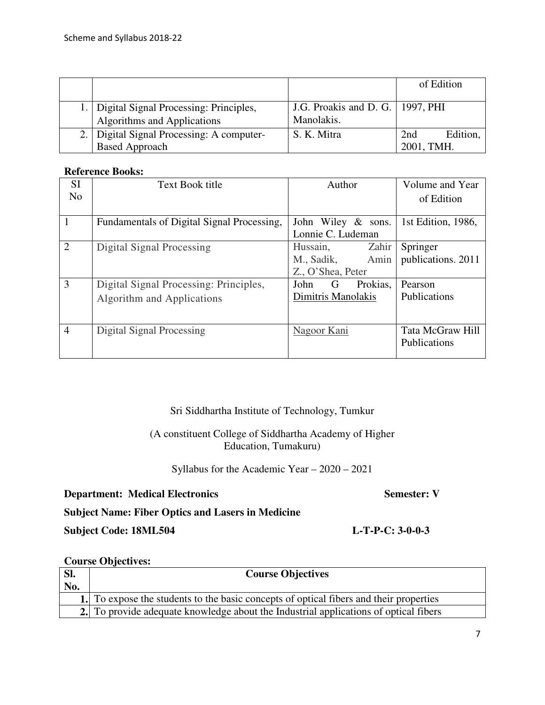|                                             |                                    | of Edition      |
|---------------------------------------------|------------------------------------|-----------------|
|                                             |                                    |                 |
| 1.   Digital Signal Processing: Principles, | J.G. Proakis and D. G.   1997, PHI |                 |
| Algorithms and Applications                 | Manolakis.                         |                 |
| 2.   Digital Signal Processing: A computer- | S. K. Mitra                        | 2nd<br>Edition, |
| <b>Based Approach</b>                       |                                    | 2001, TMH.      |

#### **Reference Books:**

| <b>SI</b>      | <b>Text Book title</b>                     | Author                | Volume and Year                  |
|----------------|--------------------------------------------|-----------------------|----------------------------------|
| N <sub>o</sub> |                                            |                       | of Edition                       |
|                |                                            |                       |                                  |
|                | Fundamentals of Digital Signal Processing, | John Wiley $\&$ sons. | 1st Edition, 1986,               |
|                |                                            | Lonnie C. Ludeman     |                                  |
| $\overline{2}$ | Digital Signal Processing                  | Zahir<br>Hussain,     | Springer                         |
|                |                                            | M., Sadik,<br>Amin    | publications. 2011               |
|                |                                            | Z., O'Shea, Peter     |                                  |
| 3              | Digital Signal Processing: Principles,     | Prokias.<br>John<br>G | Pearson                          |
|                | Algorithm and Applications                 | Dimitris Manolakis    | <b>Publications</b>              |
|                |                                            |                       |                                  |
| $\overline{4}$ | Digital Signal Processing                  | Nagoor Kani           | Tata McGraw Hill<br>Publications |

## Sri Siddhartha Institute of Technology, Tumkur

## (A constituent College of Siddhartha Academy of Higher Education, Tumakuru)

Syllabus for the Academic Year – 2020 – 2021

## **Department: Medical Electronics Semester: V**

**Subject Name: Fiber Optics and Lasers in Medicine** 

**Subject Code: 18ML504 L-T-P-C: 3-0-0-3** 

| SI. | <b>Course Objectives</b>                                                               |  |
|-----|----------------------------------------------------------------------------------------|--|
| No. |                                                                                        |  |
|     | 1. To expose the students to the basic concepts of optical fibers and their properties |  |
|     | 2. To provide adequate knowledge about the Industrial applications of optical fibers   |  |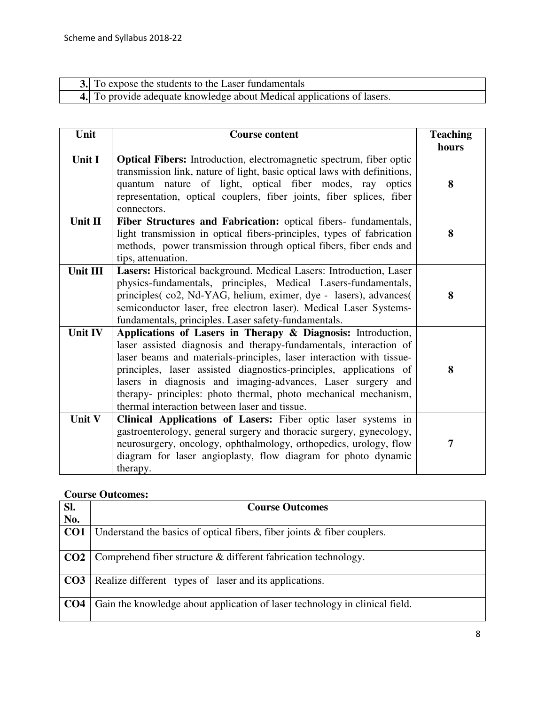| 3. To expose the students to the Laser fundamentals                    |
|------------------------------------------------------------------------|
| 4. To provide adequate knowledge about Medical applications of lasers. |

| Unit           | <b>Course content</b>                                                                                                                                                                                                                                                                                                                                                                                                                                              | <b>Teaching</b><br>hours |
|----------------|--------------------------------------------------------------------------------------------------------------------------------------------------------------------------------------------------------------------------------------------------------------------------------------------------------------------------------------------------------------------------------------------------------------------------------------------------------------------|--------------------------|
| Unit I         | <b>Optical Fibers:</b> Introduction, electromagnetic spectrum, fiber optic<br>transmission link, nature of light, basic optical laws with definitions,<br>quantum nature of light, optical fiber modes, ray optics<br>representation, optical couplers, fiber joints, fiber splices, fiber<br>connectors.                                                                                                                                                          | 8                        |
| Unit II        | Fiber Structures and Fabrication: optical fibers- fundamentals,<br>light transmission in optical fibers-principles, types of fabrication<br>methods, power transmission through optical fibers, fiber ends and<br>tips, attenuation.                                                                                                                                                                                                                               | 8                        |
| Unit III       | Lasers: Historical background. Medical Lasers: Introduction, Laser<br>physics-fundamentals, principles, Medical Lasers-fundamentals,<br>principles(co2, Nd-YAG, helium, eximer, dye - lasers), advances(<br>semiconductor laser, free electron laser). Medical Laser Systems-<br>fundamentals, principles. Laser safety-fundamentals.                                                                                                                              | 8                        |
| <b>Unit IV</b> | Applications of Lasers in Therapy & Diagnosis: Introduction,<br>laser assisted diagnosis and therapy-fundamentals, interaction of<br>laser beams and materials-principles, laser interaction with tissue-<br>principles, laser assisted diagnostics-principles, applications of<br>lasers in diagnosis and imaging-advances, Laser surgery and<br>therapy- principles: photo thermal, photo mechanical mechanism,<br>thermal interaction between laser and tissue. | 8                        |
| Unit V         | Clinical Applications of Lasers: Fiber optic laser systems in<br>gastroenterology, general surgery and thoracic surgery, gynecology,<br>neurosurgery, oncology, ophthalmology, orthopedics, urology, flow<br>diagram for laser angioplasty, flow diagram for photo dynamic<br>therapy.                                                                                                                                                                             | 7                        |

| Sl.             | <b>Course Outcomes</b>                                                      |
|-----------------|-----------------------------------------------------------------------------|
| No.             |                                                                             |
| CO <sub>1</sub> | Understand the basics of optical fibers, fiber joints $\&$ fiber couplers.  |
| CO <sub>2</sub> | Comprehend fiber structure & different fabrication technology.              |
| CO <sub>3</sub> | Realize different types of laser and its applications.                      |
| CO <sub>4</sub> | Gain the knowledge about application of laser technology in clinical field. |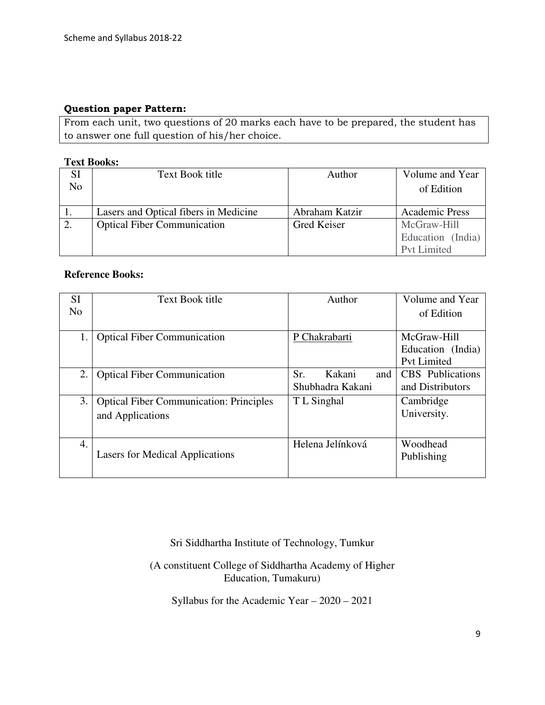#### **Question paper Pattern:**

From each unit, two questions of 20 marks each have to be prepared, the student has to answer one full question of his/her choice.

#### **Text Books:**

| SI             | Text Book title                       | Author             | Volume and Year       |  |
|----------------|---------------------------------------|--------------------|-----------------------|--|
| N <sub>o</sub> |                                       |                    | of Edition            |  |
|                |                                       |                    |                       |  |
|                | Lasers and Optical fibers in Medicine | Abraham Katzir     | <b>Academic Press</b> |  |
|                | <b>Optical Fiber Communication</b>    | <b>Gred Keiser</b> | McGraw-Hill           |  |
|                |                                       |                    | Education (India)     |  |
|                |                                       |                    | <b>Pvt Limited</b>    |  |

#### **Reference Books:**

| <b>SI</b> | Text Book title                                | Author               | Volume and Year         |
|-----------|------------------------------------------------|----------------------|-------------------------|
| No        |                                                |                      | of Edition              |
|           |                                                |                      |                         |
| 1.        | <b>Optical Fiber Communication</b>             | P Chakrabarti        | McGraw-Hill             |
|           |                                                |                      | Education (India)       |
|           |                                                |                      | <b>Pvt Limited</b>      |
| 2.        | <b>Optical Fiber Communication</b>             | Sr.<br>Kakani<br>and | <b>CBS</b> Publications |
|           |                                                | Shubhadra Kakani     | and Distributors        |
| 3.        | <b>Optical Fiber Communication: Principles</b> | T L Singhal          | Cambridge               |
|           | and Applications                               |                      | University.             |
|           |                                                |                      |                         |
| 4.        |                                                | Helena Jelínková     | Woodhead                |
|           | <b>Lasers for Medical Applications</b>         |                      | Publishing              |
|           |                                                |                      |                         |

Sri Siddhartha Institute of Technology, Tumkur

(A constituent College of Siddhartha Academy of Higher Education, Tumakuru)

Syllabus for the Academic Year – 2020 – 2021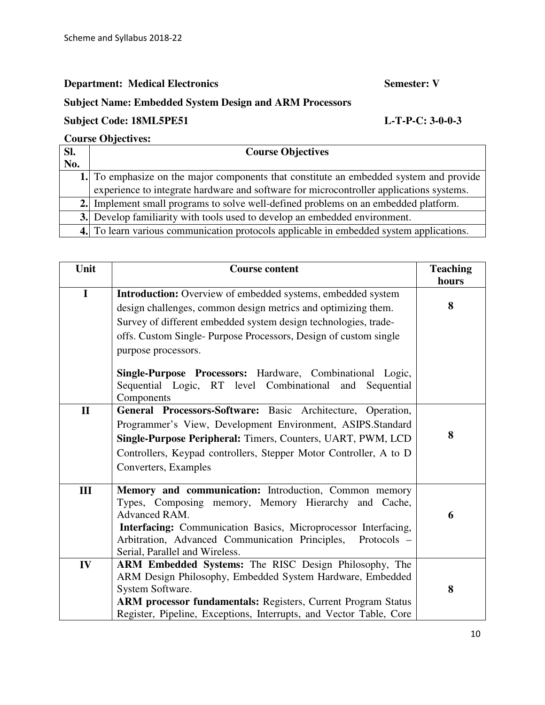## **Department: Medical Electronics Semester: V** Semester: V

## **Subject Name: Embedded System Design and ARM Processors**

# **Subject Code: 18ML5PE51 L-T-P-C: 3-0-0-3**

| Sl. | <b>Course Objectives</b>                                                                |
|-----|-----------------------------------------------------------------------------------------|
| No. |                                                                                         |
|     | 1. To emphasize on the major components that constitute an embedded system and provide  |
|     | experience to integrate hardware and software for microcontroller applications systems. |
|     | 2. Implement small programs to solve well-defined problems on an embedded platform.     |
|     | 3. Develop familiarity with tools used to develop an embedded environment.              |
|     | 4. To learn various communication protocols applicable in embedded system applications. |

| Unit         | <b>Course content</b>                                                                                                              | <b>Teaching</b> |  |
|--------------|------------------------------------------------------------------------------------------------------------------------------------|-----------------|--|
|              |                                                                                                                                    | hours           |  |
| $\mathbf I$  | <b>Introduction:</b> Overview of embedded systems, embedded system                                                                 | 8               |  |
|              | design challenges, common design metrics and optimizing them.                                                                      |                 |  |
|              | Survey of different embedded system design technologies, trade-                                                                    |                 |  |
|              | offs. Custom Single-Purpose Processors, Design of custom single                                                                    |                 |  |
|              | purpose processors.                                                                                                                |                 |  |
|              | Single-Purpose Processors: Hardware, Combinational Logic,<br>Sequential Logic, RT level Combinational and Sequential<br>Components |                 |  |
| $\mathbf{I}$ | General Processors-Software: Basic Architecture, Operation,                                                                        |                 |  |
|              | Programmer's View, Development Environment, ASIPS.Standard                                                                         |                 |  |
|              | Single-Purpose Peripheral: Timers, Counters, UART, PWM, LCD                                                                        | 8               |  |
|              | Controllers, Keypad controllers, Stepper Motor Controller, A to D                                                                  |                 |  |
|              | Converters, Examples                                                                                                               |                 |  |
|              |                                                                                                                                    |                 |  |
| III          | Memory and communication: Introduction, Common memory                                                                              |                 |  |
|              | Types, Composing memory, Memory Hierarchy and Cache,                                                                               |                 |  |
|              | Advanced RAM.                                                                                                                      | 6               |  |
|              | Interfacing: Communication Basics, Microprocessor Interfacing,                                                                     |                 |  |
|              | Arbitration, Advanced Communication Principles,<br>Protocols –                                                                     |                 |  |
|              | Serial, Parallel and Wireless.                                                                                                     |                 |  |
| IV           | ARM Embedded Systems: The RISC Design Philosophy, The                                                                              |                 |  |
|              | ARM Design Philosophy, Embedded System Hardware, Embedded                                                                          |                 |  |
|              | System Software.                                                                                                                   | 8               |  |
|              | ARM processor fundamentals: Registers, Current Program Status                                                                      |                 |  |
|              | Register, Pipeline, Exceptions, Interrupts, and Vector Table, Core                                                                 |                 |  |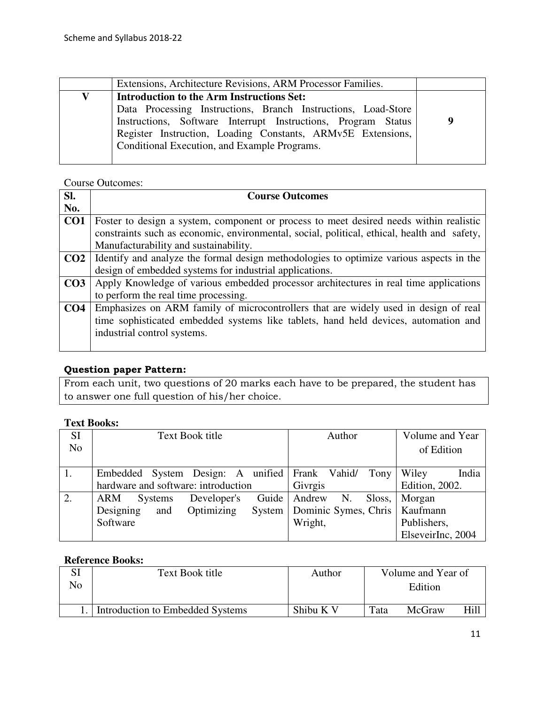|              | Extensions, Architecture Revisions, ARM Processor Families.                                                                                                                                                                                                                                       |   |
|--------------|---------------------------------------------------------------------------------------------------------------------------------------------------------------------------------------------------------------------------------------------------------------------------------------------------|---|
| $\mathbf{V}$ | <b>Introduction to the Arm Instructions Set:</b><br>Data Processing Instructions, Branch Instructions, Load-Store<br>Instructions, Software Interrupt Instructions, Program Status<br>Register Instruction, Loading Constants, ARMv5E Extensions,<br>Conditional Execution, and Example Programs. | 9 |

| SI.             | <b>Course Outcomes</b>                                                                      |  |  |
|-----------------|---------------------------------------------------------------------------------------------|--|--|
| No.             |                                                                                             |  |  |
| CO <sub>1</sub> | Foster to design a system, component or process to meet desired needs within realistic      |  |  |
|                 | constraints such as economic, environmental, social, political, ethical, health and safety, |  |  |
|                 | Manufacturability and sustainability.                                                       |  |  |
| CO <sub>2</sub> | I dentify and analyze the formal design methodologies to optimize various aspects in the    |  |  |
|                 | design of embedded systems for industrial applications.                                     |  |  |
| CO <sub>3</sub> | Apply Knowledge of various embedded processor architectures in real time applications       |  |  |
|                 | to perform the real time processing.                                                        |  |  |
| CO <sub>4</sub> | Emphasizes on ARM family of microcontrollers that are widely used in design of real         |  |  |
|                 | time sophisticated embedded systems like tablets, hand held devices, automation and         |  |  |
|                 | industrial control systems.                                                                 |  |  |
|                 |                                                                                             |  |  |

## **Question paper Pattern:**

From each unit, two questions of 20 marks each have to be prepared, the student has to answer one full question of his/her choice.

#### **Text Books:**

| SI             | Text Book title                                | Author                                 | Volume and Year        |  |
|----------------|------------------------------------------------|----------------------------------------|------------------------|--|
| N <sub>o</sub> |                                                |                                        | of Edition             |  |
|                |                                                |                                        |                        |  |
|                | Embedded System Design: A unified Frank Vahid/ | Tony                                   | India<br>Wiley         |  |
|                | hardware and software: introduction            | Givrgis                                | <b>Edition</b> , 2002. |  |
| 2.             | Developer's<br><b>ARM</b><br><b>Systems</b>    | Guide   Andrew<br>N.<br>$Sloss, \vert$ | Morgan                 |  |
|                | Optimizing<br>and<br>Designing<br>System       | Dominic Symes, Chris   Kaufmann        |                        |  |
|                | Software                                       | Wright,                                | Publishers,            |  |
|                |                                                |                                        | ElseveirInc, 2004      |  |

|    | Text Book title                  | Author    | Volume and Year of |        |      |
|----|----------------------------------|-----------|--------------------|--------|------|
| No |                                  |           | Edition            |        |      |
|    |                                  |           |                    |        |      |
|    | Introduction to Embedded Systems | Shibu K V | Tata               | McGraw | Hill |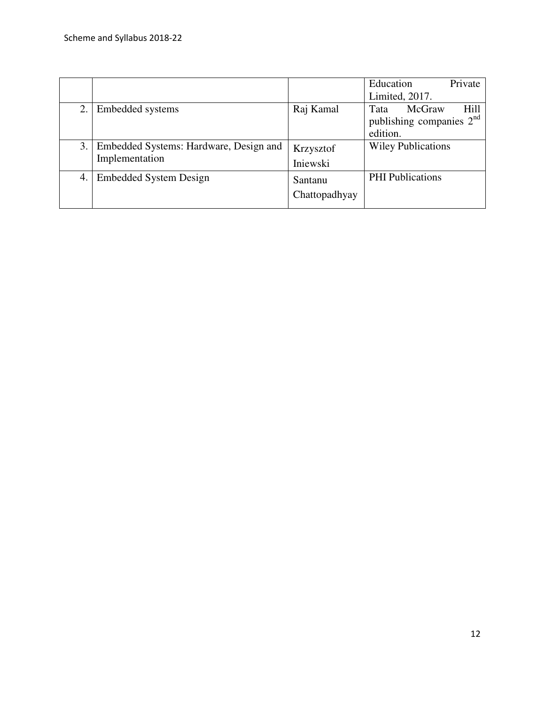|                |                                                          |                          | Private<br>Education<br>Limited, 2017.                           |
|----------------|----------------------------------------------------------|--------------------------|------------------------------------------------------------------|
| 2.             | Embedded systems                                         | Raj Kamal                | Hill<br>McGraw<br>Tata<br>publishing companies $2nd$<br>edition. |
| 3.             | Embedded Systems: Hardware, Design and<br>Implementation | Krzysztof<br>Iniewski    | <b>Wiley Publications</b>                                        |
| $\overline{4}$ | <b>Embedded System Design</b>                            | Santanu<br>Chattopadhyay | <b>PHI</b> Publications                                          |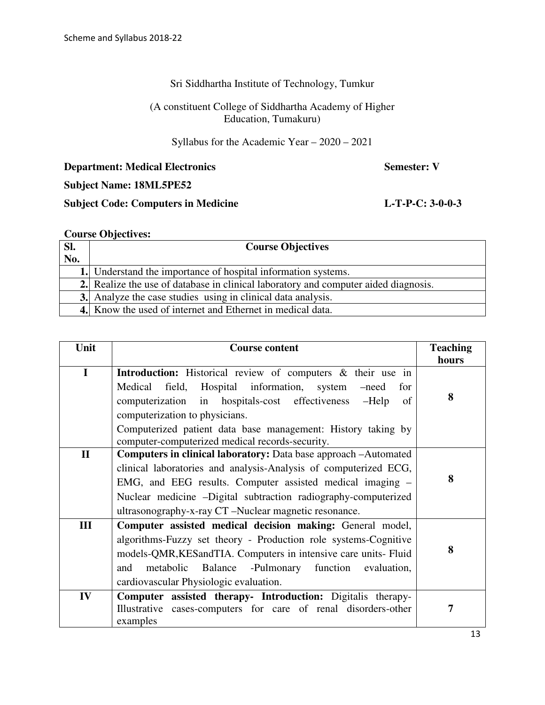#### (A constituent College of Siddhartha Academy of Higher Education, Tumakuru)

### Syllabus for the Academic Year – 2020 – 2021

## **Department: Medical Electronics Semester: V**

## **Subject Name: 18ML5PE52**

## **Subject Code: Computers in Medicine L-T-P-C: 3-0-0-3**

| SI. | <b>Course Objectives</b>                                                            |  |
|-----|-------------------------------------------------------------------------------------|--|
| No. |                                                                                     |  |
|     | 1. Understand the importance of hospital information systems.                       |  |
|     | 2. Realize the use of database in clinical laboratory and computer aided diagnosis. |  |
|     | 3. Analyze the case studies using in clinical data analysis.                        |  |
|     | 4. Know the used of internet and Ethernet in medical data.                          |  |

| Unit         | <b>Course content</b>                                                                                                                     | <b>Teaching</b> |
|--------------|-------------------------------------------------------------------------------------------------------------------------------------------|-----------------|
|              |                                                                                                                                           | hours           |
| $\bf{I}$     | <b>Introduction:</b> Historical review of computers & their use in                                                                        |                 |
|              | Medical field, Hospital information, system -need<br>for                                                                                  |                 |
|              | computerization in hospitals-cost effectiveness<br>$-Help$<br>of                                                                          | 8               |
|              | computerization to physicians.                                                                                                            |                 |
|              | Computerized patient data base management: History taking by<br>computer-computerized medical records-security.                           |                 |
| $\mathbf{I}$ | <b>Computers in clinical laboratory:</b> Data base approach – Automated                                                                   |                 |
|              | clinical laboratories and analysis-Analysis of computerized ECG,                                                                          |                 |
|              | EMG, and EEG results. Computer assisted medical imaging –                                                                                 | 8               |
|              | Nuclear medicine – Digital subtraction radiography-computerized                                                                           |                 |
|              | ultrasonography-x-ray CT –Nuclear magnetic resonance.                                                                                     |                 |
| Ш            | Computer assisted medical decision making: General model,                                                                                 |                 |
|              | algorithms-Fuzzy set theory - Production role systems-Cognitive                                                                           |                 |
|              | models-QMR, KES and TIA. Computers in intensive care units- Fluid                                                                         | 8               |
|              | Balance -Pulmonary function<br>metabolic<br>and<br>evaluation,                                                                            |                 |
|              | cardiovascular Physiologic evaluation.                                                                                                    |                 |
| IV           | Computer assisted therapy- Introduction: Digitalis therapy-<br>Illustrative cases-computers for care of renal disorders-other<br>examples | 7               |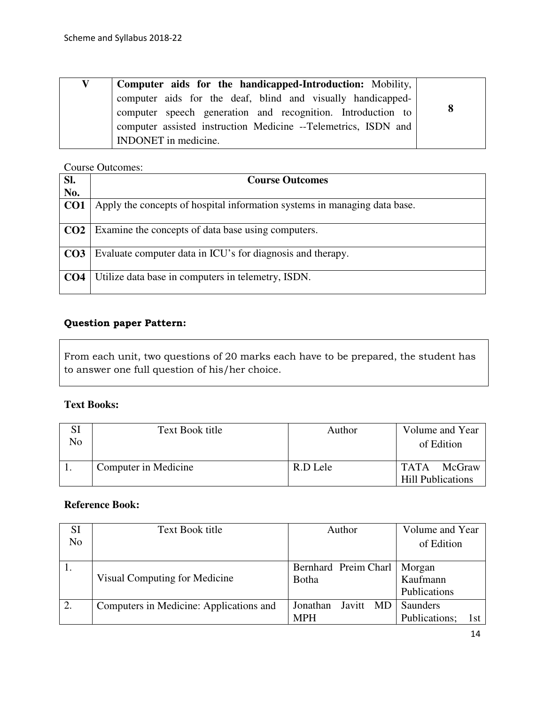| V | <b>Computer aids for the handicapped-Introduction:</b> Mobility, |   |
|---|------------------------------------------------------------------|---|
|   | computer aids for the deaf, blind and visually handicapped-      |   |
|   | computer speech generation and recognition. Introduction to      | 8 |
|   | computer assisted instruction Medicine --Telemetrics, ISDN and   |   |
|   | INDONET in medicine.                                             |   |

| Sl.             | <b>Course Outcomes</b>                                                    |
|-----------------|---------------------------------------------------------------------------|
| No.             |                                                                           |
| CO <sub>1</sub> | Apply the concepts of hospital information systems in managing data base. |
| CO <sub>2</sub> | Examine the concepts of data base using computers.                        |
| CO <sub>3</sub> | Evaluate computer data in ICU's for diagnosis and therapy.                |
| CO <sub>4</sub> | Utilize data base in computers in telemetry, ISDN.                        |

## **Question paper Pattern:**

From each unit, two questions of 20 marks each have to be prepared, the student has to answer one full question of his/her choice.

## **Text Books:**

| No | Text Book title      | Author   | Volume and Year<br>of Edition                     |
|----|----------------------|----------|---------------------------------------------------|
|    | Computer in Medicine | R.D Lele | McGraw<br><b>TATA</b><br><b>Hill Publications</b> |

| SI             | Text Book title                         | Author                | Volume and Year       |
|----------------|-----------------------------------------|-----------------------|-----------------------|
| N <sub>o</sub> |                                         |                       | of Edition            |
|                |                                         |                       |                       |
| 1.             |                                         | Bernhard Preim Charl  | Morgan                |
|                | Visual Computing for Medicine           | Botha                 | Kaufmann              |
|                |                                         |                       | Publications          |
| 2.             | Computers in Medicine: Applications and | Jonathan<br>Javitt MD | Saunders              |
|                |                                         | <b>MPH</b>            | Publications;<br>1st. |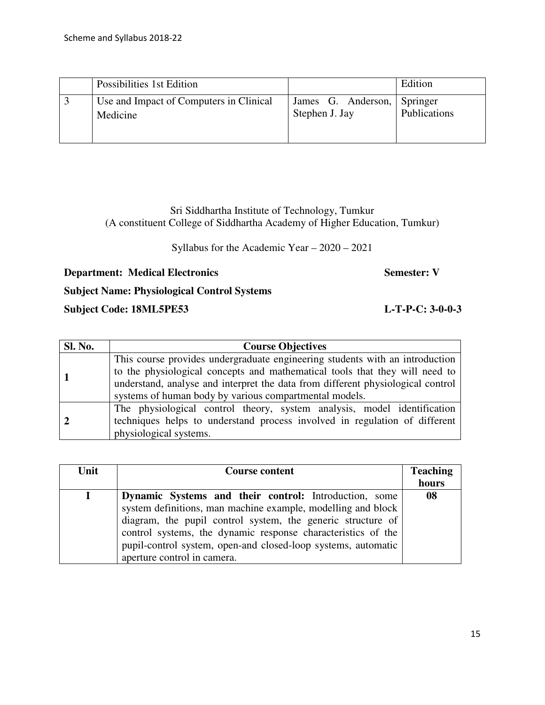| Possibilities 1st Edition               |                    | Edition         |
|-----------------------------------------|--------------------|-----------------|
| Use and Impact of Computers in Clinical | James G. Anderson, | <b>Springer</b> |
| Medicine                                | Stephen J. Jay     | Publications    |

Sri Siddhartha Institute of Technology, Tumkur (A constituent College of Siddhartha Academy of Higher Education, Tumkur)

Syllabus for the Academic Year – 2020 – 2021

## **Department: Medical Electronics Semester: V**

**Subject Name: Physiological Control Systems** 

## **Subject Code: 18ML5PE53 L-T-P-C: 3-0-0-3**

**Sl. No. Course Objectives 1**  This course provides undergraduate engineering students with an introduction to the physiological concepts and mathematical tools that they will need to understand, analyse and interpret the data from different physiological control systems of human body by various compartmental models. **2**  The physiological control theory, system analysis, model identification techniques helps to understand process involved in regulation of different physiological systems.

| Unit | <b>Course content</b>                                                                                                                                                                                                                                                                                                                                | <b>Teaching</b><br>hours |
|------|------------------------------------------------------------------------------------------------------------------------------------------------------------------------------------------------------------------------------------------------------------------------------------------------------------------------------------------------------|--------------------------|
|      | Dynamic Systems and their control: Introduction, some<br>system definitions, man machine example, modelling and block<br>diagram, the pupil control system, the generic structure of<br>control systems, the dynamic response characteristics of the<br>pupil-control system, open-and closed-loop systems, automatic<br>aperture control in camera. | 08                       |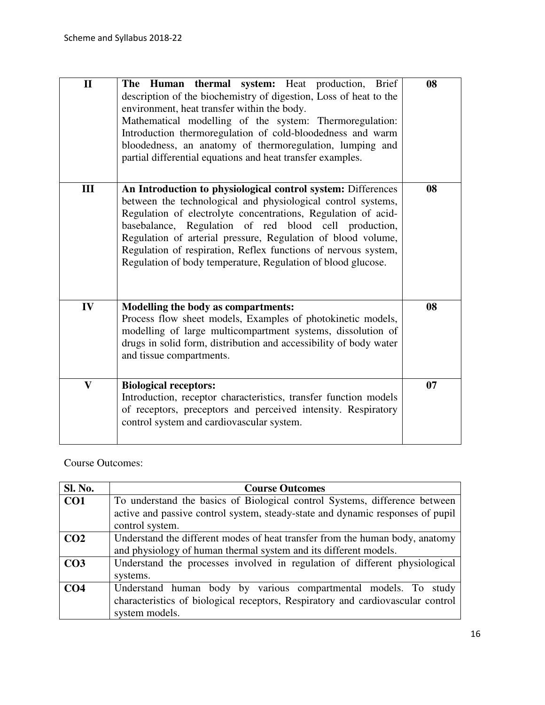| $\mathbf{I}$ | The Human thermal system: Heat production, Brief<br>description of the biochemistry of digestion, Loss of heat to the<br>environment, heat transfer within the body.<br>Mathematical modelling of the system: Thermoregulation:<br>Introduction thermoregulation of cold-bloodedness and warm<br>bloodedness, an anatomy of thermoregulation, lumping and<br>partial differential equations and heat transfer examples.                                  | 08 |
|--------------|----------------------------------------------------------------------------------------------------------------------------------------------------------------------------------------------------------------------------------------------------------------------------------------------------------------------------------------------------------------------------------------------------------------------------------------------------------|----|
| III          | An Introduction to physiological control system: Differences<br>between the technological and physiological control systems,<br>Regulation of electrolyte concentrations, Regulation of acid-<br>basebalance, Regulation of red blood cell production,<br>Regulation of arterial pressure, Regulation of blood volume,<br>Regulation of respiration, Reflex functions of nervous system,<br>Regulation of body temperature, Regulation of blood glucose. | 08 |
| IV           | Modelling the body as compartments:<br>Process flow sheet models, Examples of photokinetic models,<br>modelling of large multicompartment systems, dissolution of<br>drugs in solid form, distribution and accessibility of body water<br>and tissue compartments.                                                                                                                                                                                       | 08 |
| $\mathbf{V}$ | <b>Biological receptors:</b><br>Introduction, receptor characteristics, transfer function models<br>of receptors, preceptors and perceived intensity. Respiratory<br>control system and cardiovascular system.                                                                                                                                                                                                                                           | 07 |

| <b>Sl. No.</b>  | <b>Course Outcomes</b>                                                          |  |
|-----------------|---------------------------------------------------------------------------------|--|
| CO <sub>1</sub> | To understand the basics of Biological control Systems, difference between      |  |
|                 | active and passive control system, steady-state and dynamic responses of pupil  |  |
|                 | control system.                                                                 |  |
| CO <sub>2</sub> | Understand the different modes of heat transfer from the human body, anatomy    |  |
|                 | and physiology of human thermal system and its different models.                |  |
| CO <sub>3</sub> | Understand the processes involved in regulation of different physiological      |  |
|                 | systems.                                                                        |  |
| CO <sub>4</sub> | Understand human body by various compartmental models. To study                 |  |
|                 | characteristics of biological receptors, Respiratory and cardiovascular control |  |
|                 | system models.                                                                  |  |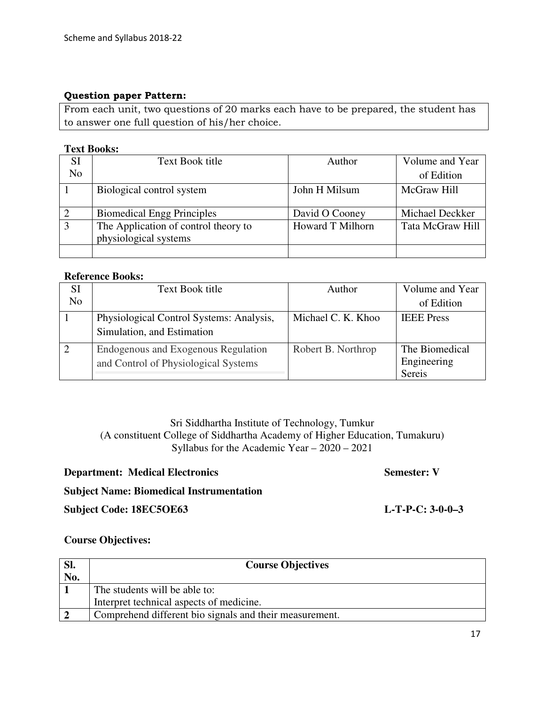## **Question paper Pattern:**

From each unit, two questions of 20 marks each have to be prepared, the student has to answer one full question of his/her choice.

#### **Text Books:**

| <b>SI</b>      | Text Book title                                               | Author           | Volume and Year         |
|----------------|---------------------------------------------------------------|------------------|-------------------------|
| N <sub>o</sub> |                                                               |                  | of Edition              |
|                | Biological control system                                     | John H Milsum    | McGraw Hill             |
|                | <b>Biomedical Engg Principles</b>                             | David O Cooney   | Michael Deckker         |
| 3              | The Application of control theory to<br>physiological systems | Howard T Milhorn | <b>Tata McGraw Hill</b> |
|                |                                                               |                  |                         |

#### **Reference Books:**

|    | Text Book title                                                             | Author             | Volume and Year                         |
|----|-----------------------------------------------------------------------------|--------------------|-----------------------------------------|
| No |                                                                             |                    | of Edition                              |
|    | Physiological Control Systems: Analysis,<br>Simulation, and Estimation      | Michael C. K. Khoo | <b>IEEE</b> Press                       |
|    | Endogenous and Exogenous Regulation<br>and Control of Physiological Systems | Robert B. Northrop | The Biomedical<br>Engineering<br>Sereis |

Sri Siddhartha Institute of Technology, Tumkur (A constituent College of Siddhartha Academy of Higher Education, Tumakuru) Syllabus for the Academic Year – 2020 – 2021

#### **Department: Medical Electronics Semester: V**

## **Subject Name: Biomedical Instrumentation**

**Subject Code: 18EC5OE63 L-T-P-C: 3-0-0–3** 

| SI. | <b>Course Objectives</b>                                |
|-----|---------------------------------------------------------|
| No. |                                                         |
|     | The students will be able to:                           |
|     | Interpret technical aspects of medicine.                |
|     | Comprehend different bio signals and their measurement. |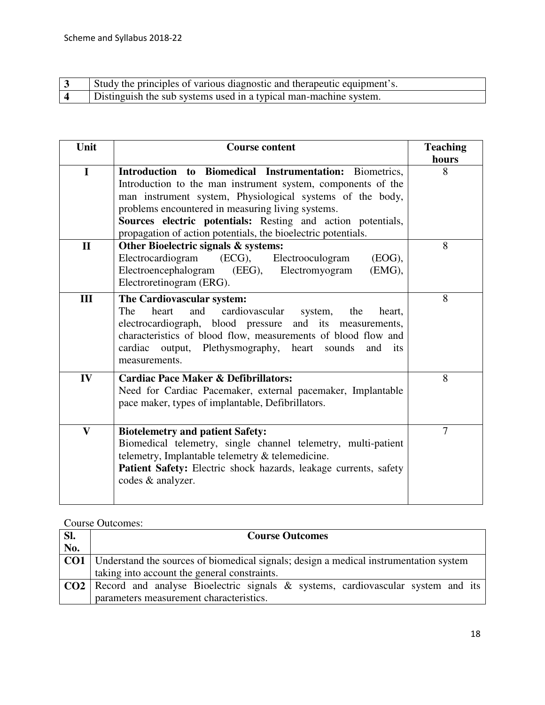| Study the principles of various diagnostic and therapeutic equipment's. |
|-------------------------------------------------------------------------|
| Distinguish the sub systems used in a typical man-machine system.       |

| Unit         | <b>Course content</b>                                                                                                                                                                                                                                                                                                                                                     | <b>Teaching</b><br>hours |
|--------------|---------------------------------------------------------------------------------------------------------------------------------------------------------------------------------------------------------------------------------------------------------------------------------------------------------------------------------------------------------------------------|--------------------------|
| $\mathbf I$  | Introduction to Biomedical Instrumentation: Biometrics,<br>Introduction to the man instrument system, components of the<br>man instrument system, Physiological systems of the body,<br>problems encountered in measuring living systems.<br>Sources electric potentials: Resting and action potentials,<br>propagation of action potentials, the bioelectric potentials. | 8                        |
| $\mathbf{I}$ | Other Bioelectric signals & systems:<br>Electrocardiogram<br>Electrooculogram<br>(EOG),<br>(ECG),<br>Electroencephalogram<br>(EMG),<br>(EEG),<br>Electromyogram<br>Electroretinogram (ERG).                                                                                                                                                                               | 8                        |
| III          | The Cardiovascular system:<br>and<br>The<br>heart<br>cardiovascular<br>system,<br>the<br>heart,<br>electrocardiograph, blood pressure and its measurements,<br>characteristics of blood flow, measurements of blood flow and<br>cardiac<br>output, Plethysmography,<br>heart<br>sounds<br>and<br>its<br>measurements.                                                     | 8                        |
| IV           | <b>Cardiac Pace Maker &amp; Defibrillators:</b><br>Need for Cardiac Pacemaker, external pacemaker, Implantable<br>pace maker, types of implantable, Defibrillators.                                                                                                                                                                                                       | 8                        |
| $\mathbf{V}$ | <b>Biotelemetry and patient Safety:</b><br>Biomedical telemetry, single channel telemetry, multi-patient<br>telemetry, Implantable telemetry & telemedicine.<br>Patient Safety: Electric shock hazards, leakage currents, safety<br>codes & analyzer.                                                                                                                     | $\tau$                   |

| SI. | <b>Course Outcomes</b>                                                                           |
|-----|--------------------------------------------------------------------------------------------------|
| No. |                                                                                                  |
|     | <b>CO1</b> Understand the sources of biomedical signals; design a medical instrumentation system |
|     | taking into account the general constraints.                                                     |
|     | $CO2$ Record and analyse Bioelectric signals & systems, cardiovascular system and its            |
|     | parameters measurement characteristics.                                                          |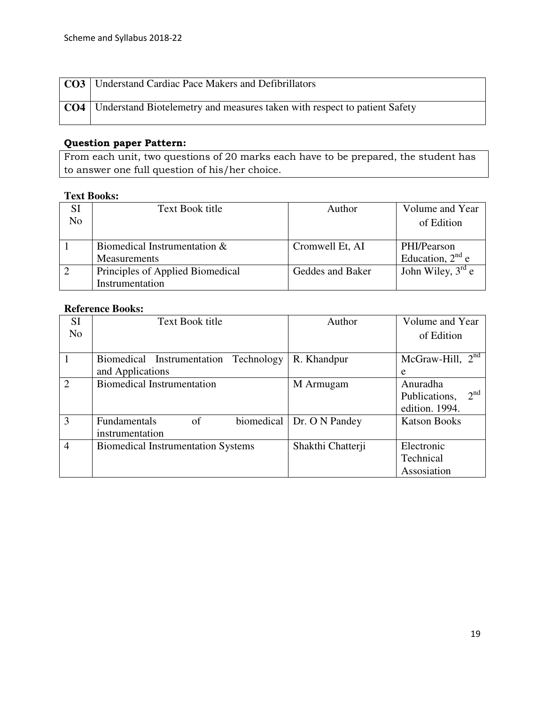| <b>CO3</b> Understand Cardiac Pace Makers and Defibrillators                         |
|--------------------------------------------------------------------------------------|
| <b>CO4</b> Understand Biotelemetry and measures taken with respect to patient Safety |

## **Question paper Pattern:**

From each unit, two questions of 20 marks each have to be prepared, the student has to answer one full question of his/her choice.

### **Text Books:**

|                | Text Book title                  | Author           | Volume and Year               |
|----------------|----------------------------------|------------------|-------------------------------|
| N <sub>o</sub> |                                  |                  | of Edition                    |
|                |                                  |                  |                               |
|                | Biomedical Instrumentation $\&$  | Cromwell Et, AI  | PHI/Pearson                   |
|                | <b>Measurements</b>              |                  | Education, $2^{nd}$ e         |
|                | Principles of Applied Biomedical | Geddes and Baker | John Wiley, $3^{\text{rd}}$ e |
|                | Instrumentation                  |                  |                               |

| <b>SI</b>      | <b>Text Book title</b>                              | Author            | Volume and Year                                                |
|----------------|-----------------------------------------------------|-------------------|----------------------------------------------------------------|
| N <sub>o</sub> |                                                     |                   | of Edition                                                     |
|                | Technology<br>Biomedical Instrumentation            | R. Khandpur       | $2^{nd}$<br>McGraw-Hill,                                       |
|                | and Applications                                    |                   | e                                                              |
| $\mathcal{D}$  | <b>Biomedical Instrumentation</b>                   | M Armugam         | Anuradha<br>2 <sup>nd</sup><br>Publications.<br>edition. 1994. |
| 3              | of<br>Fundamentals<br>biomedical<br>instrumentation | Dr. O N Pandey    | <b>Katson Books</b>                                            |
| $\overline{4}$ | <b>Biomedical Instrumentation Systems</b>           | Shakthi Chatterji | Electronic<br>Technical<br>Assosiation                         |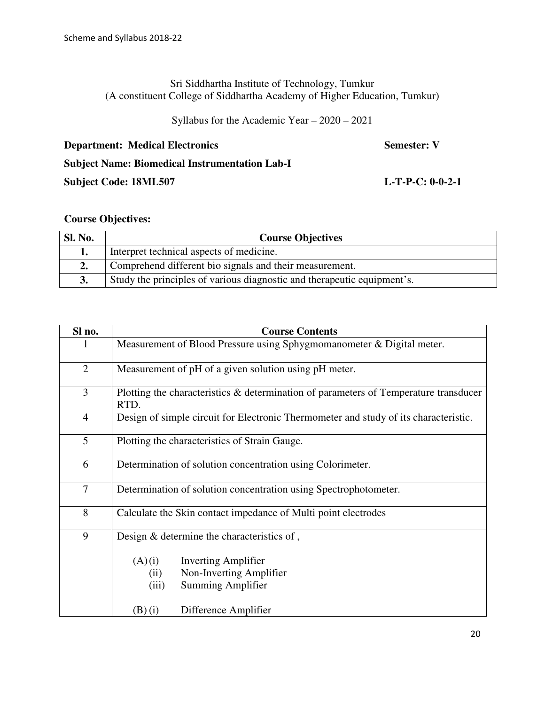## Sri Siddhartha Institute of Technology, Tumkur (A constituent College of Siddhartha Academy of Higher Education, Tumkur)

Syllabus for the Academic Year – 2020 – 2021

## **Department: Medical Electronics Semester: V** Semester: V

**Subject Name: Biomedical Instrumentation Lab-I** 

**Subject Code: 18ML507 L-T-P-C: 0-0-2-1** 

| <b>Sl. No.</b> | <b>Course Objectives</b>                                                |
|----------------|-------------------------------------------------------------------------|
|                | Interpret technical aspects of medicine.                                |
|                | Comprehend different bio signals and their measurement.                 |
|                | Study the principles of various diagnostic and therapeutic equipment's. |

| Sl no.         | <b>Course Contents</b>                                                                       |  |  |
|----------------|----------------------------------------------------------------------------------------------|--|--|
| 1              | Measurement of Blood Pressure using Sphygmomanometer & Digital meter.                        |  |  |
| $\overline{2}$ | Measurement of pH of a given solution using pH meter.                                        |  |  |
| $\overline{3}$ | Plotting the characteristics & determination of parameters of Temperature transducer<br>RTD. |  |  |
| $\overline{4}$ | Design of simple circuit for Electronic Thermometer and study of its characteristic.         |  |  |
| 5              | Plotting the characteristics of Strain Gauge.                                                |  |  |
| 6              | Determination of solution concentration using Colorimeter.                                   |  |  |
| $\overline{7}$ | Determination of solution concentration using Spectrophotometer.                             |  |  |
| 8              | Calculate the Skin contact impedance of Multi point electrodes                               |  |  |
| 9              | Design & determine the characteristics of,                                                   |  |  |
|                | <b>Inverting Amplifier</b><br>(A)(i)                                                         |  |  |
|                | Non-Inverting Amplifier<br>(ii)                                                              |  |  |
|                | <b>Summing Amplifier</b><br>(iii)                                                            |  |  |
|                | Difference Amplifier<br>(B)(i)                                                               |  |  |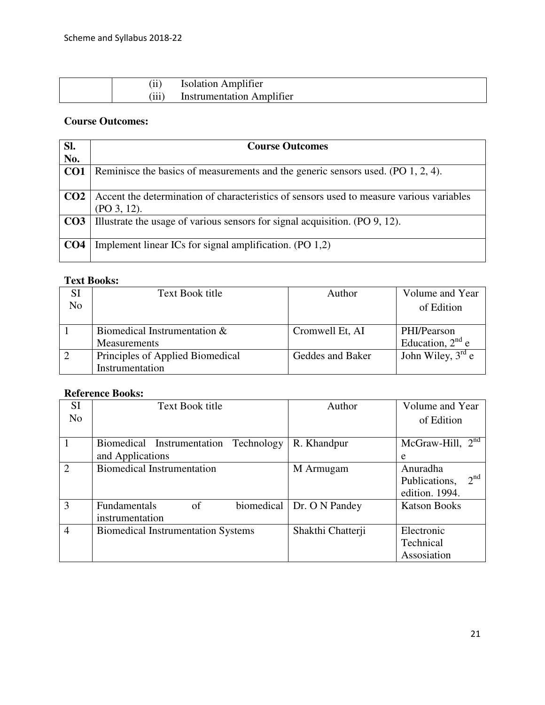| ,     | <b>Isolation Amplifier</b>       |
|-------|----------------------------------|
| (iii) | <b>Instrumentation Amplifier</b> |

| Sl.             | <b>Course Outcomes</b>                                                                   |
|-----------------|------------------------------------------------------------------------------------------|
| No.             |                                                                                          |
| CO <sub>1</sub> | Reminisce the basics of measurements and the generic sensors used. (PO 1, 2, 4).         |
| CO <sub>2</sub> | Accent the determination of characteristics of sensors used to measure various variables |
|                 | (PO 3, 12).                                                                              |
| CO <sub>3</sub> | Illustrate the usage of various sensors for signal acquisition. (PO 9, 12).              |
| CO <sub>4</sub> | Implement linear ICs for signal amplification. (PO 1,2)                                  |

## **Text Books:**

|                | Text Book title                  | Author           | Volume and Year        |
|----------------|----------------------------------|------------------|------------------------|
| N <sub>0</sub> |                                  |                  | of Edition             |
|                |                                  |                  |                        |
|                | Biomedical Instrumentation $\&$  | Cromwell Et, AI  | PHI/Pearson            |
|                | <b>Measurements</b>              |                  | Education, $2^{nd}$ e  |
|                | Principles of Applied Biomedical | Geddes and Baker | John Wiley, $3^{rd}$ e |
|                | Instrumentation                  |                  |                        |

| <b>SI</b>      | <b>Text Book title</b>                              | Author            | Volume and Year                                                |
|----------------|-----------------------------------------------------|-------------------|----------------------------------------------------------------|
| N <sub>o</sub> |                                                     |                   | of Edition                                                     |
|                | Technology<br>Biomedical Instrumentation            | R. Khandpur       | McGraw-Hill, $2^{n\overline{d}}$                               |
|                | and Applications                                    |                   | e                                                              |
| $\overline{2}$ | <b>Biomedical Instrumentation</b>                   | M Armugam         | Anuradha<br>2 <sup>nd</sup><br>Publications,<br>edition. 1994. |
| 3              | Fundamentals<br>biomedical<br>of<br>instrumentation | Dr. O N Pandey    | <b>Katson Books</b>                                            |
| $\overline{4}$ | <b>Biomedical Instrumentation Systems</b>           | Shakthi Chatterji | Electronic<br>Technical<br>Assosiation                         |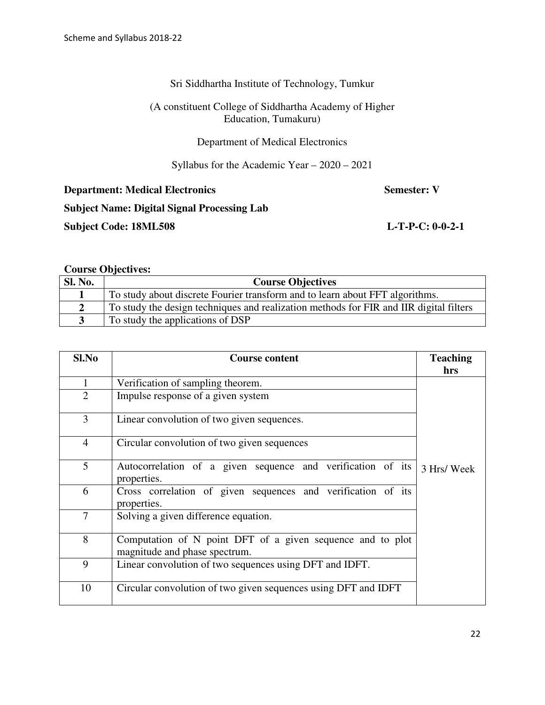### (A constituent College of Siddhartha Academy of Higher Education, Tumakuru)

#### Department of Medical Electronics

## Syllabus for the Academic Year – 2020 – 2021

**Department: Medical Electronics Semester: V** 

**Subject Name: Digital Signal Processing Lab** 

**Subject Code: 18ML508 L-T-P-C: 0-0-2-1** 

| Sl. No. | <b>Course Objectives</b>                                                               |
|---------|----------------------------------------------------------------------------------------|
|         | To study about discrete Fourier transform and to learn about FFT algorithms.           |
|         | To study the design techniques and realization methods for FIR and IIR digital filters |
|         | To study the applications of DSP                                                       |

| Sl.No          | <b>Course content</b>                                                                       | <b>Teaching</b><br>hrs |
|----------------|---------------------------------------------------------------------------------------------|------------------------|
| 1              | Verification of sampling theorem.                                                           |                        |
| $\overline{2}$ | Impulse response of a given system                                                          |                        |
| 3              | Linear convolution of two given sequences.                                                  |                        |
| $\overline{4}$ | Circular convolution of two given sequences                                                 |                        |
| 5              | Autocorrelation of a given sequence and verification of its<br>properties.                  | 3 Hrs/Week             |
| 6              | Cross correlation of given sequences and verification of its<br>properties.                 |                        |
| $\overline{7}$ | Solving a given difference equation.                                                        |                        |
| 8              | Computation of N point DFT of a given sequence and to plot<br>magnitude and phase spectrum. |                        |
| 9              | Linear convolution of two sequences using DFT and IDFT.                                     |                        |
| 10             | Circular convolution of two given sequences using DFT and IDFT                              |                        |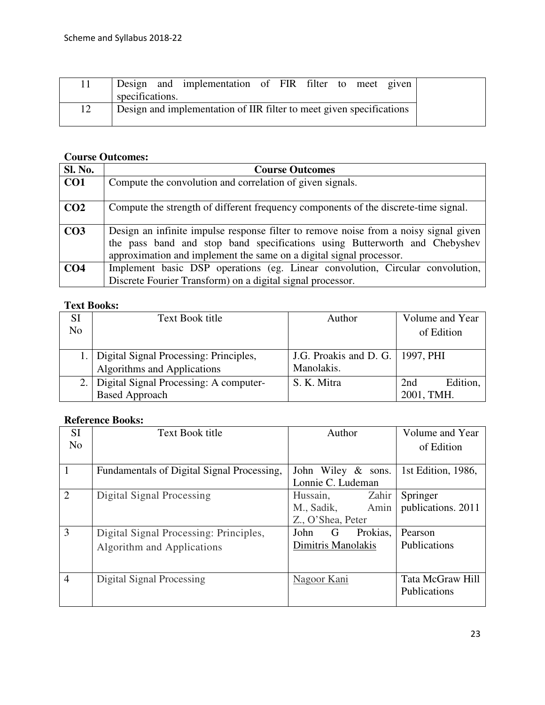| Design and implementation of FIR filter to meet given<br>11<br>specifications. |
|--------------------------------------------------------------------------------|
| Design and implementation of IIR filter to meet given specifications<br>12     |

| <b>Sl. No.</b>  | <b>Course Outcomes</b>                                                                                                                                                                                                                    |
|-----------------|-------------------------------------------------------------------------------------------------------------------------------------------------------------------------------------------------------------------------------------------|
| CO <sub>1</sub> | Compute the convolution and correlation of given signals.                                                                                                                                                                                 |
| CO <sub>2</sub> | Compute the strength of different frequency components of the discrete-time signal.                                                                                                                                                       |
| CO <sub>3</sub> | Design an infinite impulse response filter to remove noise from a noisy signal given<br>the pass band and stop band specifications using Butterworth and Chebyshev<br>approximation and implement the same on a digital signal processor. |
| CO <sub>4</sub> | Implement basic DSP operations (eg. Linear convolution, Circular convolution,<br>Discrete Fourier Transform) on a digital signal processor.                                                                                               |

# **Text Books:**

|                | Text Book title                             | Author                             | Volume and Year |  |
|----------------|---------------------------------------------|------------------------------------|-----------------|--|
| N <sub>0</sub> |                                             |                                    | of Edition      |  |
|                |                                             |                                    |                 |  |
|                | 1.   Digital Signal Processing: Principles, | J.G. Proakis and D. G.   1997, PHI |                 |  |
|                | <b>Algorithms and Applications</b>          | Manolakis.                         |                 |  |
|                | 2.   Digital Signal Processing: A computer- | S. K. Mitra                        | Edition,<br>2nd |  |
|                | <b>Based Approach</b>                       |                                    | 2001, TMH.      |  |

| <b>SI</b>      | <b>Text Book title</b>                     | Author                | Volume and Year     |
|----------------|--------------------------------------------|-----------------------|---------------------|
| N <sub>o</sub> |                                            |                       | of Edition          |
|                |                                            |                       |                     |
|                | Fundamentals of Digital Signal Processing, | John Wiley $\&$ sons. | 1st Edition, 1986,  |
|                |                                            | Lonnie C. Ludeman     |                     |
| $\overline{2}$ | Digital Signal Processing                  | Zahir<br>Hussain,     | Springer            |
|                |                                            | M., Sadik,<br>Amin    | publications. 2011  |
|                |                                            | Z., O'Shea, Peter     |                     |
| 3              | Digital Signal Processing: Principles,     | Prokias.<br>John<br>G | Pearson             |
|                | Algorithm and Applications                 | Dimitris Manolakis    | <b>Publications</b> |
|                |                                            |                       |                     |
|                |                                            |                       |                     |
| $\overline{4}$ | Digital Signal Processing                  | Nagoor Kani           | Tata McGraw Hill    |
|                |                                            |                       | <b>Publications</b> |
|                |                                            |                       |                     |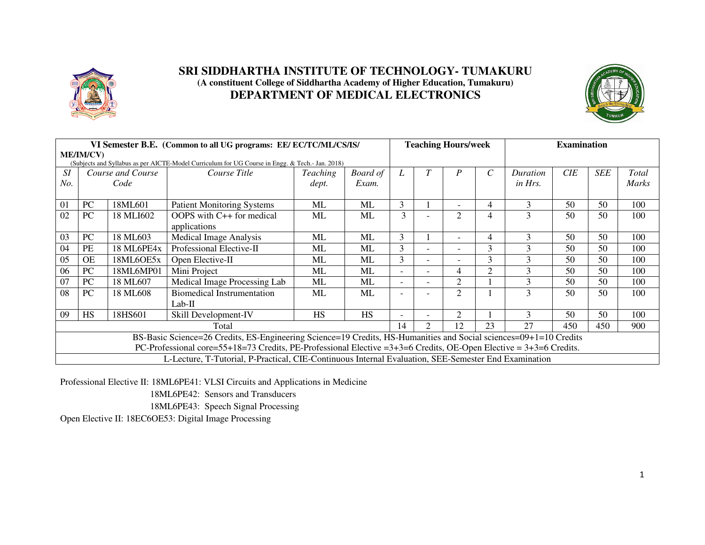

## **SRI SIDDHARTHA INSTITUTE OF TECHNOLOGY- TUMAKURU (A constituent College of Siddhartha Academy of Higher Education, Tumakuru) DEPARTMENT OF MEDICAL ELECTRONICS**



| VI Semester B.E. (Common to all UG programs: EE/EC/TC/ML/CS/IS/ |                                                                                                                     |                   |                                                                                                 |                 | <b>Teaching Hours/week</b><br><b>Examination</b> |                |                          |                          |                             |              |            |            |              |
|-----------------------------------------------------------------|---------------------------------------------------------------------------------------------------------------------|-------------------|-------------------------------------------------------------------------------------------------|-----------------|--------------------------------------------------|----------------|--------------------------|--------------------------|-----------------------------|--------------|------------|------------|--------------|
| <b>ME/IM/CV)</b>                                                |                                                                                                                     |                   |                                                                                                 |                 |                                                  |                |                          |                          |                             |              |            |            |              |
|                                                                 |                                                                                                                     |                   | (Subjects and Syllabus as per AICTE-Model Curriculum for UG Course in Engg. & Tech.- Jan. 2018) |                 |                                                  |                |                          |                          |                             |              |            |            |              |
| SI                                                              |                                                                                                                     | Course and Course | Course Title                                                                                    | <b>Teaching</b> | <b>Board</b> of                                  | L              | $\boldsymbol{T}$         | $\boldsymbol{P}$         | $\mathcal{C}_{\mathcal{C}}$ | Duration     | <b>CIE</b> | <b>SEE</b> | Total        |
| No.                                                             |                                                                                                                     | Code              |                                                                                                 | dept.           | Exam.                                            |                |                          |                          |                             | in Hrs.      |            |            | <b>Marks</b> |
|                                                                 |                                                                                                                     |                   |                                                                                                 |                 |                                                  |                |                          |                          |                             |              |            |            |              |
| 01                                                              | PC                                                                                                                  | 18ML601           | <b>Patient Monitoring Systems</b>                                                               | ML              | ML                                               | 3              |                          | $\overline{\phantom{a}}$ | $\overline{4}$              | 3            | 50         | 50         | 100          |
| 02                                                              | PC                                                                                                                  | 18 MLI602         | OOPS with C++ for medical                                                                       | ML              | ML                                               | 3              |                          | 2                        | 4                           | 3            | 50         | 50         | 100          |
|                                                                 |                                                                                                                     |                   | applications                                                                                    |                 |                                                  |                |                          |                          |                             |              |            |            |              |
| 03                                                              | PC                                                                                                                  | 18 ML603          | Medical Image Analysis                                                                          | ML              | ML                                               | 3              |                          | $\overline{\phantom{0}}$ | 4                           | 3            | 50         | 50         | 100          |
| 04                                                              | <b>PE</b>                                                                                                           | 18 ML6PE4x        | Professional Elective-II                                                                        | ML              | ML                                               | 3              |                          | $\overline{\phantom{a}}$ | 3                           | 3            | 50         | 50         | 100          |
| 05                                                              | <b>OE</b>                                                                                                           | 18ML6OE5x         | Open Elective-II                                                                                | ML              | ML                                               | 3 <sup>1</sup> | $\overline{\phantom{0}}$ | $\overline{\phantom{0}}$ | 3                           | 3            | 50         | 50         | 100          |
| 06                                                              | PC                                                                                                                  | 18ML6MP01         | Mini Project                                                                                    | ML              | МL                                               |                |                          | 4                        | $\overline{2}$              | 3            | 50         | 50         | 100          |
| 07                                                              | PC                                                                                                                  | 18 ML607          | Medical Image Processing Lab                                                                    | ML              | ML                                               |                |                          | $\overline{c}$           |                             | 3            | 50         | 50         | 100          |
| 08                                                              | PC                                                                                                                  | 18 ML608          | <b>Biomedical Instrumentation</b>                                                               | ML              | ML                                               |                |                          | 2                        |                             | 3            | 50         | 50         | 100          |
|                                                                 |                                                                                                                     |                   | Lab-II                                                                                          |                 |                                                  |                |                          |                          |                             |              |            |            |              |
| 09                                                              | <b>HS</b>                                                                                                           | 18HS601           | Skill Development-IV                                                                            | <b>HS</b>       | <b>HS</b>                                        |                |                          | $\overline{c}$           |                             | $\mathbf{3}$ | 50         | 50         | 100          |
|                                                                 | 23<br>2<br>12<br>27<br>450<br>14<br>450<br>900<br>Total                                                             |                   |                                                                                                 |                 |                                                  |                |                          |                          |                             |              |            |            |              |
|                                                                 | BS-Basic Science=26 Credits, ES-Engineering Science=19 Credits, HS-Humanities and Social sciences=09+1=10 Credits   |                   |                                                                                                 |                 |                                                  |                |                          |                          |                             |              |            |            |              |
|                                                                 | PC-Professional core=55+18=73 Credits, PE-Professional Elective =3+3=6 Credits, OE-Open Elective = $3+3=6$ Credits. |                   |                                                                                                 |                 |                                                  |                |                          |                          |                             |              |            |            |              |
|                                                                 | L-Lecture, T-Tutorial, P-Practical, CIE-Continuous Internal Evaluation, SEE-Semester End Examination                |                   |                                                                                                 |                 |                                                  |                |                          |                          |                             |              |            |            |              |

Professional Elective II: 18ML6PE41: VLSI Circuits and Applications in Medicine

18ML6PE42: Sensors and Transducers

18ML6PE43: Speech Signal Processing

Open Elective II: 18EC6OE53: Digital Image Processing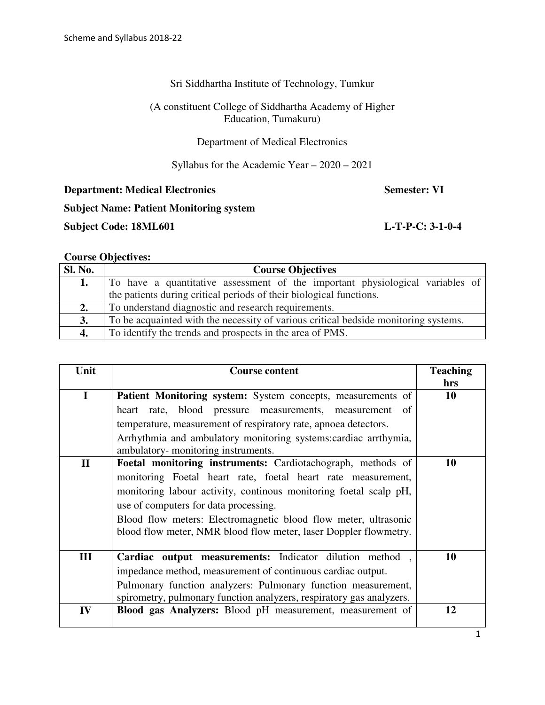### (A constituent College of Siddhartha Academy of Higher Education, Tumakuru)

#### Department of Medical Electronics

## Syllabus for the Academic Year – 2020 – 2021

**Department: Medical Electronics Semester: VI** 

## **Subject Name: Patient Monitoring system**

## **Subject Code: 18ML601 L-T-P-C: 3-1-0-4**

| <b>Sl. No.</b> | <b>Course Objectives</b>                                                            |  |  |  |  |  |
|----------------|-------------------------------------------------------------------------------------|--|--|--|--|--|
|                | To have a quantitative assessment of the important physiological variables of       |  |  |  |  |  |
|                | the patients during critical periods of their biological functions.                 |  |  |  |  |  |
| 2.             | To understand diagnostic and research requirements.                                 |  |  |  |  |  |
| <b>3.</b>      | To be acquainted with the necessity of various critical bedside monitoring systems. |  |  |  |  |  |
|                | To identify the trends and prospects in the area of PMS.                            |  |  |  |  |  |

| Unit         | <b>Course content</b>                                                                                  | <b>Teaching</b> |
|--------------|--------------------------------------------------------------------------------------------------------|-----------------|
|              |                                                                                                        | hrs             |
| $\mathbf I$  | <b>Patient Monitoring system:</b> System concepts, measurements of                                     | 10              |
|              | heart rate, blood pressure measurements, measurement<br>of                                             |                 |
|              | temperature, measurement of respiratory rate, apnoea detectors.                                        |                 |
|              | Arrhythmia and ambulatory monitoring systems: cardiac arrthymia,<br>ambulatory-monitoring instruments. |                 |
| $\mathbf{I}$ | Foetal monitoring instruments: Cardiotachograph, methods of                                            | 10              |
|              | monitoring Foetal heart rate, foetal heart rate measurement,                                           |                 |
|              | monitoring labour activity, continous monitoring foetal scalp pH,                                      |                 |
|              | use of computers for data processing.                                                                  |                 |
|              | Blood flow meters: Electromagnetic blood flow meter, ultrasonic                                        |                 |
|              | blood flow meter, NMR blood flow meter, laser Doppler flowmetry.                                       |                 |
|              |                                                                                                        |                 |
| III          | Cardiac output measurements: Indicator dilution method,                                                | 10              |
|              | impedance method, measurement of continuous cardiac output.                                            |                 |
|              | Pulmonary function analyzers: Pulmonary function measurement,                                          |                 |
|              | spirometry, pulmonary function analyzers, respiratory gas analyzers.                                   |                 |
| IV           | Blood gas Analyzers: Blood pH measurement, measurement of                                              | 12              |
|              |                                                                                                        |                 |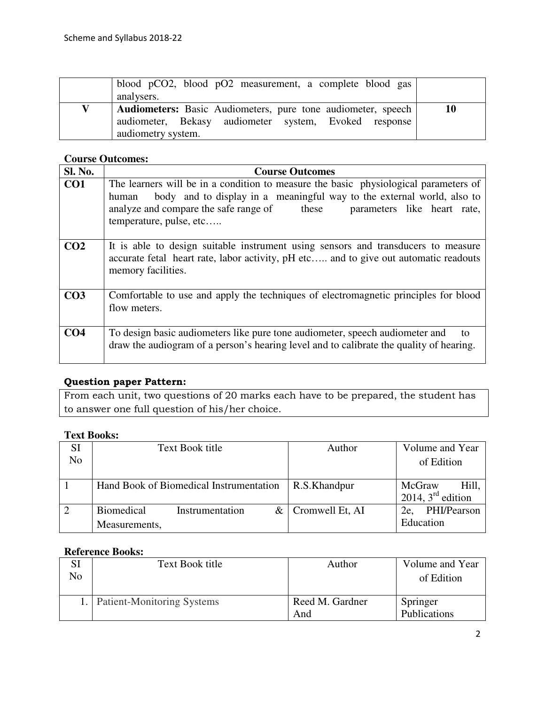|   | blood pCO2, blood pO2 measurement, a complete blood gas<br>analysers.                                                                         |    |
|---|-----------------------------------------------------------------------------------------------------------------------------------------------|----|
| V | Audiometers: Basic Audiometers, pure tone audiometer, speech  <br>audiometer, Bekasy audiometer system, Evoked response<br>audiometry system. | 10 |

| <b>Sl. No.</b>  | <b>Course Outcomes</b>                                                                                                                                                                                                                                                           |  |  |  |
|-----------------|----------------------------------------------------------------------------------------------------------------------------------------------------------------------------------------------------------------------------------------------------------------------------------|--|--|--|
| CO1             | The learners will be in a condition to measure the basic physiological parameters of<br>body and to display in a meaningful way to the external world, also to<br>human<br>analyze and compare the safe range of these<br>parameters like heart rate,<br>temperature, pulse, etc |  |  |  |
| CO <sub>2</sub> | It is able to design suitable instrument using sensors and transducers to measure<br>accurate fetal heart rate, labor activity, pH etc and to give out automatic readouts<br>memory facilities.                                                                                  |  |  |  |
| CO <sub>3</sub> | Comfortable to use and apply the techniques of electromagnetic principles for blood<br>flow meters.                                                                                                                                                                              |  |  |  |
| CO <sub>4</sub> | To design basic audiometers like pure tone audiometer, speech audiometer and<br>tΩ<br>draw the audiogram of a person's hearing level and to calibrate the quality of hearing.                                                                                                    |  |  |  |

## **Question paper Pattern:**

From each unit, two questions of 20 marks each have to be prepared, the student has to answer one full question of his/her choice.

# **Text Books:**

|                | Text Book title   |                                         | Author | Volume and Year |                     |
|----------------|-------------------|-----------------------------------------|--------|-----------------|---------------------|
| N <sub>o</sub> |                   |                                         |        |                 | of Edition          |
|                |                   |                                         |        |                 |                     |
|                |                   | Hand Book of Biomedical Instrumentation |        | R.S.Khandpur    | Hill,<br>McGraw     |
|                |                   |                                         |        |                 | 2014, $3rd$ edition |
|                | <b>Biomedical</b> | Instrumentation                         | &      | Cromwell Et, AI | PHI/Pearson<br>2e,  |
|                | Measurements,     |                                         |        |                 | Education           |

| No | Text Book title               | Author          | Volume and Year<br>of Edition |
|----|-------------------------------|-----------------|-------------------------------|
|    |                               |                 |                               |
|    | 1. Patient-Monitoring Systems | Reed M. Gardner | Springer                      |
|    |                               | And             | <b>Publications</b>           |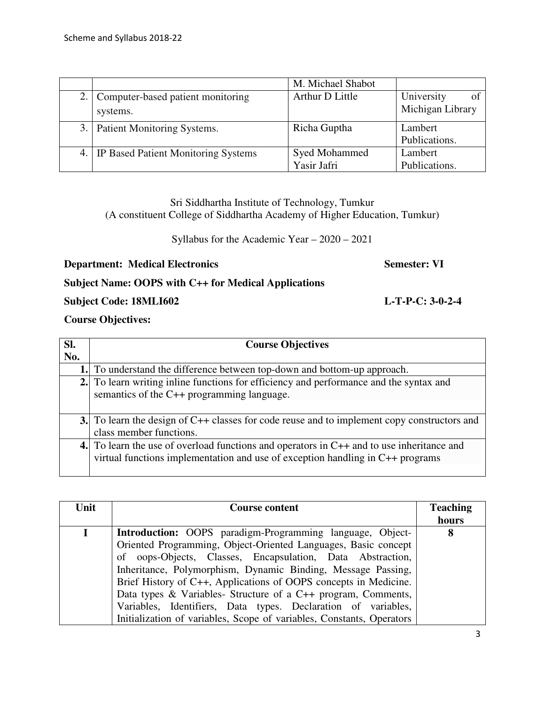|     |                                            | M. Michael Shabot |                  |
|-----|--------------------------------------------|-------------------|------------------|
|     | 2. Computer-based patient monitoring       | Arthur D Little   | University<br>O1 |
|     | systems.                                   |                   | Michigan Library |
| 3.1 | Patient Monitoring Systems.                | Richa Guptha      | Lambert          |
|     |                                            |                   | Publications.    |
| 4.1 | <b>IP Based Patient Monitoring Systems</b> | Syed Mohammed     | Lambert          |
|     |                                            | Yasir Jafri       | Publications.    |

Sri Siddhartha Institute of Technology, Tumkur (A constituent College of Siddhartha Academy of Higher Education, Tumkur)

Syllabus for the Academic Year – 2020 – 2021

#### **Department: Medical Electronics Semester: VI**

### **Subject Name: OOPS with C++ for Medical Applications**

## **Subject Code: 18MLI602 L-T-P-C: 3-0-2-4**

| SI. | <b>Course Objectives</b>                                                                       |  |
|-----|------------------------------------------------------------------------------------------------|--|
| No. |                                                                                                |  |
|     | 1. To understand the difference between top-down and bottom-up approach.                       |  |
|     | 2. To learn writing inline functions for efficiency and performance and the syntax and         |  |
|     | semantics of the C++ programming language.                                                     |  |
|     |                                                                                                |  |
|     | 3. To learn the design of $C++$ classes for code reuse and to implement copy constructors and  |  |
|     | class member functions.                                                                        |  |
|     | 4. To learn the use of overload functions and operators in $C_{++}$ and to use inheritance and |  |
|     | virtual functions implementation and use of exception handling in C++ programs                 |  |
|     |                                                                                                |  |

| Unit | <b>Course content</b>                                                 | <b>Teaching</b> |
|------|-----------------------------------------------------------------------|-----------------|
|      |                                                                       | hours           |
|      | <b>Introduction:</b> OOPS paradigm-Programming language, Object-      | 8               |
|      | Oriented Programming, Object-Oriented Languages, Basic concept        |                 |
|      | of oops-Objects, Classes, Encapsulation, Data Abstraction,            |                 |
|      | Inheritance, Polymorphism, Dynamic Binding, Message Passing,          |                 |
|      | Brief History of C++, Applications of OOPS concepts in Medicine.      |                 |
|      | Data types & Variables- Structure of a C++ program, Comments,         |                 |
|      | Variables, Identifiers, Data types. Declaration of variables,         |                 |
|      | Initialization of variables, Scope of variables, Constants, Operators |                 |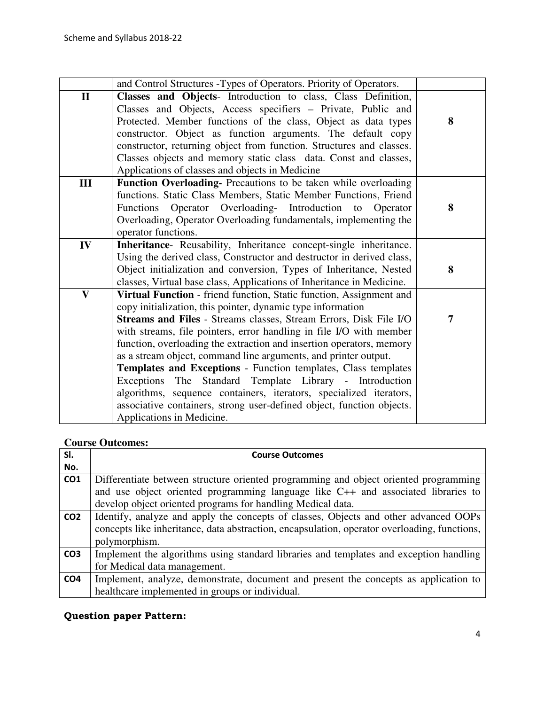|              | and Control Structures - Types of Operators. Priority of Operators.    |                |
|--------------|------------------------------------------------------------------------|----------------|
| $\mathbf{I}$ | Classes and Objects- Introduction to class, Class Definition,          |                |
|              | Classes and Objects, Access specifiers - Private, Public and           |                |
|              | Protected. Member functions of the class, Object as data types         | 8              |
|              |                                                                        |                |
|              | constructor. Object as function arguments. The default copy            |                |
|              | constructor, returning object from function. Structures and classes.   |                |
|              | Classes objects and memory static class data. Const and classes,       |                |
|              | Applications of classes and objects in Medicine                        |                |
| Ш            | <b>Function Overloading-</b> Precautions to be taken while overloading |                |
|              | functions. Static Class Members, Static Member Functions, Friend       |                |
|              | Functions Operator Overloading- Introduction<br>Operator<br>to         | 8              |
|              | Overloading, Operator Overloading fundamentals, implementing the       |                |
|              | operator functions.                                                    |                |
| IV           | Inheritance- Reusability, Inheritance concept-single inheritance.      |                |
|              | Using the derived class, Constructor and destructor in derived class,  |                |
|              | Object initialization and conversion, Types of Inheritance, Nested     | 8              |
|              | classes, Virtual base class, Applications of Inheritance in Medicine.  |                |
| $\mathbf{V}$ | Virtual Function - friend function, Static function, Assignment and    |                |
|              | copy initialization, this pointer, dynamic type information            |                |
|              | Streams and Files - Streams classes, Stream Errors, Disk File I/O      | $\overline{7}$ |
|              | with streams, file pointers, error handling in file I/O with member    |                |
|              | function, overloading the extraction and insertion operators, memory   |                |
|              | as a stream object, command line arguments, and printer output.        |                |
|              | Templates and Exceptions - Function templates, Class templates         |                |
|              | Exceptions The Standard Template Library - Introduction                |                |
|              | algorithms, sequence containers, iterators, specialized iterators,     |                |
|              | associative containers, strong user-defined object, function objects.  |                |
|              | Applications in Medicine.                                              |                |

| SI.             | <b>Course Outcomes</b>                                                                       |
|-----------------|----------------------------------------------------------------------------------------------|
| No.             |                                                                                              |
| CO <sub>1</sub> | Differentiate between structure oriented programming and object oriented programming         |
|                 | and use object oriented programming language like C++ and associated libraries to            |
|                 | develop object oriented programs for handling Medical data.                                  |
| CO <sub>2</sub> | Identify, analyze and apply the concepts of classes, Objects and other advanced OOPs         |
|                 | concepts like inheritance, data abstraction, encapsulation, operator overloading, functions, |
|                 | polymorphism.                                                                                |
| CO <sub>3</sub> | Implement the algorithms using standard libraries and templates and exception handling       |
|                 | for Medical data management.                                                                 |
| CO <sub>4</sub> | Implement, analyze, demonstrate, document and present the concepts as application to         |
|                 | healthcare implemented in groups or individual.                                              |

## **Question paper Pattern:**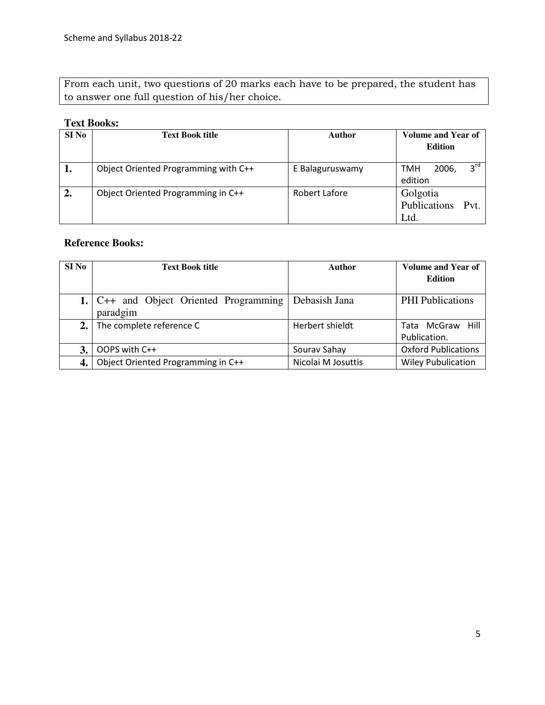From each unit, two questions of 20 marks each have to be prepared, the student has to answer one full question of his/her choice.

## **Text Books:**

| SI <sub>No</sub> | <b>Text Book title</b>               | <b>Author</b>   | <b>Volume and Year of</b><br><b>Edition</b> |
|------------------|--------------------------------------|-----------------|---------------------------------------------|
| 1.               | Object Oriented Programming with C++ | E Balaguruswamy | $3^{\text{rd}}$<br>2006,<br>TMH<br>edition  |
| 2.               | Object Oriented Programming in C++   | Robert Lafore   | Golgotia<br>Publications<br>Pvt.<br>Ltd.    |

| SI No | <b>Text Book title</b>                               | Author             | <b>Volume and Year of</b>        |
|-------|------------------------------------------------------|--------------------|----------------------------------|
|       |                                                      |                    | <b>Edition</b>                   |
|       | 1. $C++$ and Object Oriented Programming<br>paradgim | Debasish Jana      | <b>PHI</b> Publications          |
| 2.1   | The complete reference C                             | Herbert shieldt    | Tata McGraw Hill<br>Publication. |
| 3.    | OOPS with C++                                        | Sourav Sahay       | <b>Oxford Publications</b>       |
| 4.    | Object Oriented Programming in C++                   | Nicolai M Josuttis | <b>Wiley Pubulication</b>        |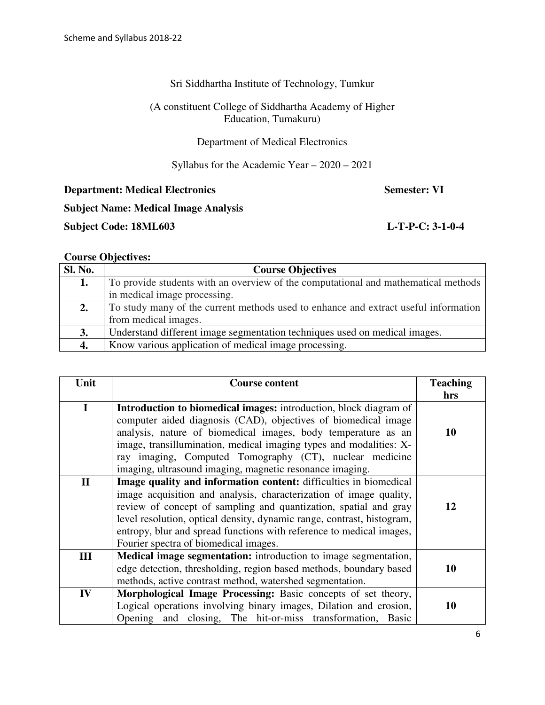### (A constituent College of Siddhartha Academy of Higher Education, Tumakuru)

### Department of Medical Electronics

## Syllabus for the Academic Year – 2020 – 2021

**Department: Medical Electronics Semester: VI** 

**Subject Name: Medical Image Analysis** 

**Subject Code: 18ML603 L-T-P-C: 3-1-0-4** 

| Sl. No.   | <b>Course Objectives</b>                                                            |  |
|-----------|-------------------------------------------------------------------------------------|--|
| 1.        | To provide students with an overview of the computational and mathematical methods  |  |
|           | in medical image processing.                                                        |  |
| 2.        | To study many of the current methods used to enhance and extract useful information |  |
|           | from medical images.                                                                |  |
| <b>3.</b> | Understand different image segmentation techniques used on medical images.          |  |
| 4.        | Know various application of medical image processing.                               |  |

| Unit         | <b>Course content</b>                                                                                                                                                                                                                                                                                                                                                                                  | <b>Teaching</b><br>hrs |
|--------------|--------------------------------------------------------------------------------------------------------------------------------------------------------------------------------------------------------------------------------------------------------------------------------------------------------------------------------------------------------------------------------------------------------|------------------------|
| I            | Introduction to biomedical images: introduction, block diagram of<br>computer aided diagnosis (CAD), objectives of biomedical image<br>analysis, nature of biomedical images, body temperature as an<br>image, transillumination, medical imaging types and modalities: X-<br>ray imaging, Computed Tomography (CT), nuclear medicine<br>imaging, ultrasound imaging, magnetic resonance imaging.      | 10                     |
| $\mathbf{I}$ | Image quality and information content: difficulties in biomedical<br>image acquisition and analysis, characterization of image quality,<br>review of concept of sampling and quantization, spatial and gray<br>level resolution, optical density, dynamic range, contrast, histogram,<br>entropy, blur and spread functions with reference to medical images,<br>Fourier spectra of biomedical images. | 12                     |
| III          | Medical image segmentation: introduction to image segmentation,<br>edge detection, thresholding, region based methods, boundary based<br>methods, active contrast method, watershed segmentation.                                                                                                                                                                                                      | 10                     |
| IV           | Morphological Image Processing: Basic concepts of set theory,<br>Logical operations involving binary images, Dilation and erosion,<br>Opening and closing, The hit-or-miss transformation, Basic                                                                                                                                                                                                       | 10                     |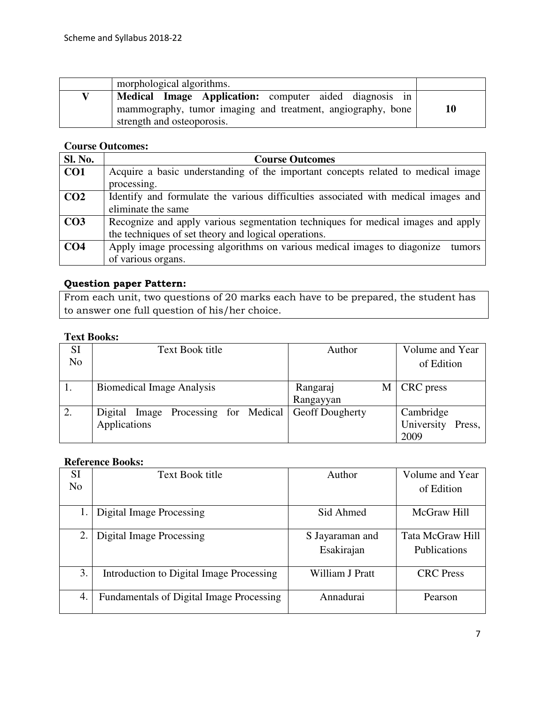| morphological algorithms.                                                                                             |    |
|-----------------------------------------------------------------------------------------------------------------------|----|
| Medical Image Application: computer aided diagnosis in<br>mammography, tumor imaging and treatment, angiography, bone | 10 |
| strength and osteoporosis.                                                                                            |    |

| <b>Sl. No.</b>  | <b>Course Outcomes</b>                                                             |  |
|-----------------|------------------------------------------------------------------------------------|--|
| CO <sub>1</sub> | Acquire a basic understanding of the important concepts related to medical image   |  |
|                 | processing.                                                                        |  |
| CO <sub>2</sub> | Identify and formulate the various difficulties associated with medical images and |  |
|                 | eliminate the same                                                                 |  |
| CO <sub>3</sub> | Recognize and apply various segmentation techniques for medical images and apply   |  |
|                 | the techniques of set theory and logical operations.                               |  |
| CO <sub>4</sub> | Apply image processing algorithms on various medical images to diagonize<br>tumors |  |
|                 | of various organs.                                                                 |  |

## **Question paper Pattern:**

From each unit, two questions of 20 marks each have to be prepared, the student has to answer one full question of his/her choice.

#### **Text Books:**

| <b>SI</b>      | Text Book title                         | Author                 | Volume and Year      |
|----------------|-----------------------------------------|------------------------|----------------------|
| N <sub>o</sub> |                                         |                        | of Edition           |
|                |                                         |                        |                      |
|                | <b>Biomedical Image Analysis</b>        | Rangaraj               | $M$ CRC press        |
|                |                                         | Rangayyan              |                      |
| 2.             | Image Processing for Medical<br>Digital | <b>Geoff Dougherty</b> | Cambridge            |
|                | Applications                            |                        | University<br>Press, |
|                |                                         |                        | 2009                 |

| SI             | Text Book title                                 | Author          | Volume and Year  |
|----------------|-------------------------------------------------|-----------------|------------------|
| N <sub>o</sub> |                                                 |                 | of Edition       |
|                |                                                 |                 |                  |
|                | Digital Image Processing                        | Sid Ahmed       | McGraw Hill      |
|                |                                                 |                 |                  |
| 2.             | Digital Image Processing                        | S Jayaraman and | Tata McGraw Hill |
|                |                                                 | Esakirajan      | Publications     |
|                |                                                 |                 |                  |
| 3.             | Introduction to Digital Image Processing        | William J Pratt | <b>CRC</b> Press |
|                |                                                 |                 |                  |
| 4.             | <b>Fundamentals of Digital Image Processing</b> | Annadurai       | Pearson          |
|                |                                                 |                 |                  |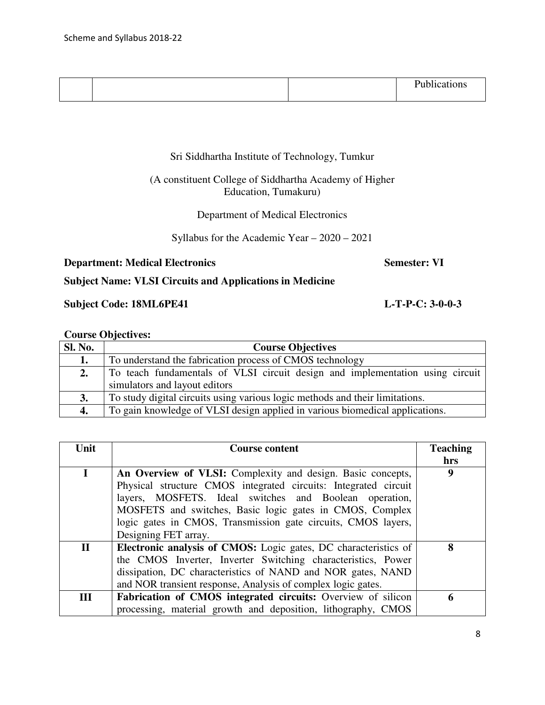|  | . |
|--|---|
|  |   |

## (A constituent College of Siddhartha Academy of Higher Education, Tumakuru)

Department of Medical Electronics

Syllabus for the Academic Year – 2020 – 2021

#### **Department: Medical Electronics Semester: VI**

**Subject Name: VLSI Circuits and Applications in Medicine** 

### **Subject Code: 18ML6PE41 L-T-P-C: 3-0-0-3**

| <b>Sl. No.</b> | <b>Course Objectives</b>                                                      |  |
|----------------|-------------------------------------------------------------------------------|--|
| 1.             | To understand the fabrication process of CMOS technology                      |  |
| 2.             | To teach fundamentals of VLSI circuit design and implementation using circuit |  |
|                | simulators and layout editors                                                 |  |
| 3.             | To study digital circuits using various logic methods and their limitations.  |  |
| 4.             | To gain knowledge of VLSI design applied in various biomedical applications.  |  |

| Unit         | <b>Course content</b>                                           | <b>Teaching</b> |
|--------------|-----------------------------------------------------------------|-----------------|
|              |                                                                 | hrs             |
| I            | An Overview of VLSI: Complexity and design. Basic concepts,     | 9               |
|              | Physical structure CMOS integrated circuits: Integrated circuit |                 |
|              | layers, MOSFETS. Ideal switches and Boolean operation,          |                 |
|              | MOSFETS and switches, Basic logic gates in CMOS, Complex        |                 |
|              | logic gates in CMOS, Transmission gate circuits, CMOS layers,   |                 |
|              | Designing FET array.                                            |                 |
| $\mathbf{I}$ | Electronic analysis of CMOS: Logic gates, DC characteristics of | 8               |
|              | the CMOS Inverter, Inverter Switching characteristics, Power    |                 |
|              | dissipation, DC characteristics of NAND and NOR gates, NAND     |                 |
|              | and NOR transient response, Analysis of complex logic gates.    |                 |
| III          | Fabrication of CMOS integrated circuits: Overview of silicon    | 6               |
|              | processing, material growth and deposition, lithography, CMOS   |                 |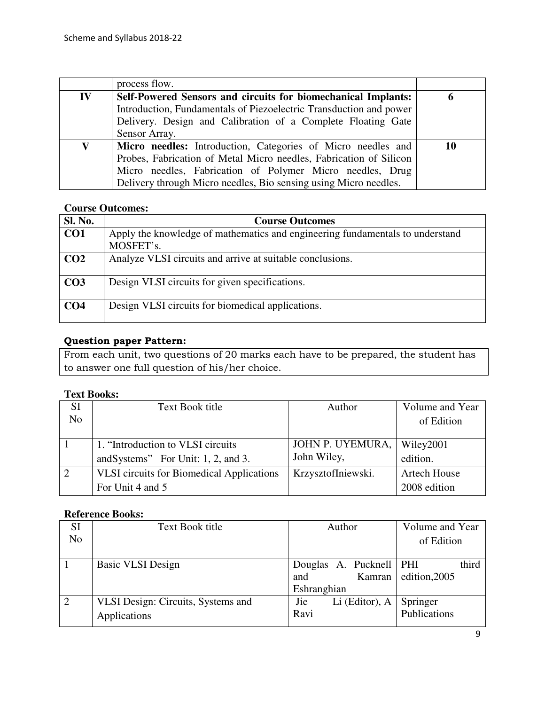|    | process flow.                                                        |   |
|----|----------------------------------------------------------------------|---|
| IV | <b>Self-Powered Sensors and circuits for biomechanical Implants:</b> | h |
|    | Introduction, Fundamentals of Piezoelectric Transduction and power   |   |
|    | Delivery. Design and Calibration of a Complete Floating Gate         |   |
|    | Sensor Array.                                                        |   |
| V  | Micro needles: Introduction, Categories of Micro needles and         |   |
|    | Probes, Fabrication of Metal Micro needles, Fabrication of Silicon   |   |
|    | Micro needles, Fabrication of Polymer Micro needles, Drug            |   |
|    | Delivery through Micro needles, Bio sensing using Micro needles.     |   |

| <b>Sl. No.</b>  | <b>Course Outcomes</b>                                                        |
|-----------------|-------------------------------------------------------------------------------|
| CO <sub>1</sub> | Apply the knowledge of mathematics and engineering fundamentals to understand |
|                 | MOSFET's.                                                                     |
| CO <sub>2</sub> | Analyze VLSI circuits and arrive at suitable conclusions.                     |
| CO <sub>3</sub> | Design VLSI circuits for given specifications.                                |
| CO <sub>4</sub> | Design VLSI circuits for biomedical applications.                             |

## **Question paper Pattern:**

From each unit, two questions of 20 marks each have to be prepared, the student has to answer one full question of his/her choice.

### **Text Books:**

| <b>SI</b>      | Text Book title                                  | Author             | Volume and Year     |
|----------------|--------------------------------------------------|--------------------|---------------------|
| N <sub>0</sub> |                                                  |                    | of Edition          |
|                |                                                  |                    |                     |
|                | 1. "Introduction to VLSI circuits"               | JOHN P. UYEMURA,   | Wiley2001           |
|                | and Systems" For Unit: 1, 2, and 3.              | John Wiley,        | edition.            |
| 2              | <b>VLSI</b> circuits for Biomedical Applications | KrzysztofIniewski. | <b>Artech House</b> |
|                | For Unit 4 and 5                                 |                    | 2008 edition        |

| <b>SI</b>      | Text Book title                    | Author                       | Volume and Year          |
|----------------|------------------------------------|------------------------------|--------------------------|
| N <sub>o</sub> |                                    |                              | of Edition               |
|                |                                    |                              |                          |
|                | Basic VLSI Design                  | Douglas A. Pucknell   PHI    | third                    |
|                |                                    | Kamran<br>and                | edition, 2005            |
|                |                                    | Eshranghian                  |                          |
|                | VLSI Design: Circuits, Systems and | Jie<br>Li (Editor), $A \mid$ | Springer<br>Publications |
|                | Applications                       | Ravi                         |                          |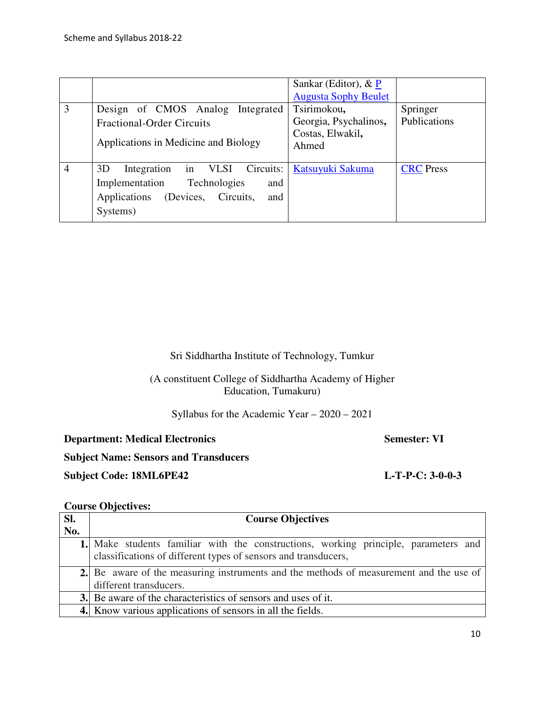|   |                                                                                                                                           | Sankar (Editor), $& P$<br><b>Augusta Sophy Beulet</b>             |                          |
|---|-------------------------------------------------------------------------------------------------------------------------------------------|-------------------------------------------------------------------|--------------------------|
| 3 | Design of CMOS Analog Integrated<br><b>Fractional-Order Circuits</b><br>Applications in Medicine and Biology                              | Tsirimokou,<br>Georgia, Psychalinos,<br>Costas, Elwakil,<br>Ahmed | Springer<br>Publications |
| 4 | Integration in VLSI Circuits:<br>3D<br>Implementation<br>Technologies<br>and<br>Circuits,<br>Applications<br>(Devices,<br>and<br>Systems) | Katsuyuki Sakuma                                                  | <b>CRC</b> Press         |

(A constituent College of Siddhartha Academy of Higher Education, Tumakuru)

Syllabus for the Academic Year – 2020 – 2021

**Department: Medical Electronics Semester: VI** 

**Subject Name: Sensors and Transducers** 

**Subject Code: 18ML6PE42 L-T-P-C: 3-0-0-3** 

| SI. | <b>Course Objectives</b>                                                                                                                              |  |
|-----|-------------------------------------------------------------------------------------------------------------------------------------------------------|--|
| No. |                                                                                                                                                       |  |
|     | 1. Make students familiar with the constructions, working principle, parameters and<br>classifications of different types of sensors and transducers, |  |
|     | 2. Be aware of the measuring instruments and the methods of measurement and the use of                                                                |  |
|     | different transducers.                                                                                                                                |  |
|     | <b>3.</b> Be aware of the characteristics of sensors and uses of it.                                                                                  |  |
|     | 4. Know various applications of sensors in all the fields.                                                                                            |  |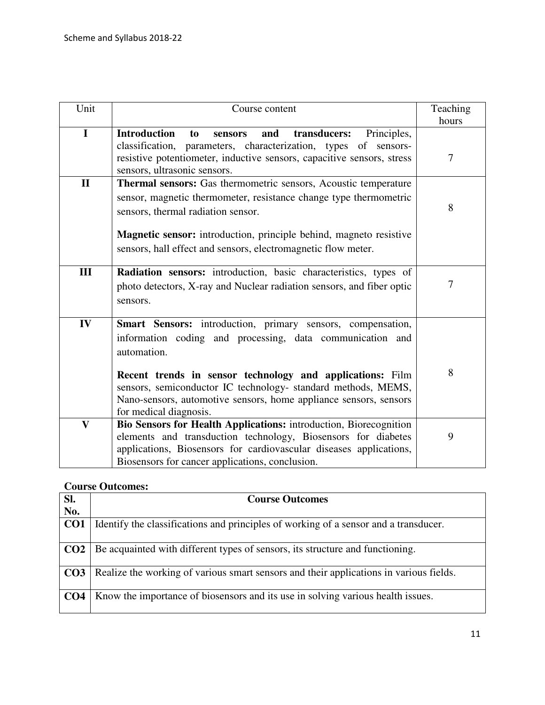| Unit                    | Course content                                                                                                                                                                                                                                                                                                                                                       | Teaching |
|-------------------------|----------------------------------------------------------------------------------------------------------------------------------------------------------------------------------------------------------------------------------------------------------------------------------------------------------------------------------------------------------------------|----------|
|                         |                                                                                                                                                                                                                                                                                                                                                                      | hours    |
| $\mathbf I$             | <b>Introduction</b><br>Principles,<br>and<br>transducers:<br>to<br>sensors<br>classification,<br>parameters, characterization, types of sensors-<br>resistive potentiometer, inductive sensors, capacitive sensors, stress<br>sensors, ultrasonic sensors.                                                                                                           | $\tau$   |
| $\mathbf{I}$            | Thermal sensors: Gas thermometric sensors, Acoustic temperature<br>sensor, magnetic thermometer, resistance change type thermometric<br>sensors, thermal radiation sensor.<br><b>Magnetic sensor:</b> introduction, principle behind, magneto resistive<br>sensors, hall effect and sensors, electromagnetic flow meter.                                             | 8        |
| III                     | Radiation sensors: introduction, basic characteristics, types of<br>photo detectors, X-ray and Nuclear radiation sensors, and fiber optic<br>sensors.                                                                                                                                                                                                                | 7        |
| IV                      | Smart Sensors: introduction, primary sensors, compensation,<br>information coding and processing, data communication and<br>automation.<br>Recent trends in sensor technology and applications: Film<br>sensors, semiconductor IC technology- standard methods, MEMS,<br>Nano-sensors, automotive sensors, home appliance sensors, sensors<br>for medical diagnosis. | 8        |
| $\overline{\mathbf{V}}$ | Bio Sensors for Health Applications: introduction, Biorecognition<br>elements and transduction technology, Biosensors for diabetes<br>applications, Biosensors for cardiovascular diseases applications,<br>Biosensors for cancer applications, conclusion.                                                                                                          | 9        |

| SI.             | <b>Course Outcomes</b>                                                                 |
|-----------------|----------------------------------------------------------------------------------------|
| No.             |                                                                                        |
| CO <sub>1</sub> | Identify the classifications and principles of working of a sensor and a transducer.   |
| CO <sub>2</sub> | Be acquainted with different types of sensors, its structure and functioning.          |
| CO <sub>3</sub> | Realize the working of various smart sensors and their applications in various fields. |
| CO <sub>4</sub> | Know the importance of biosensors and its use in solving various health issues.        |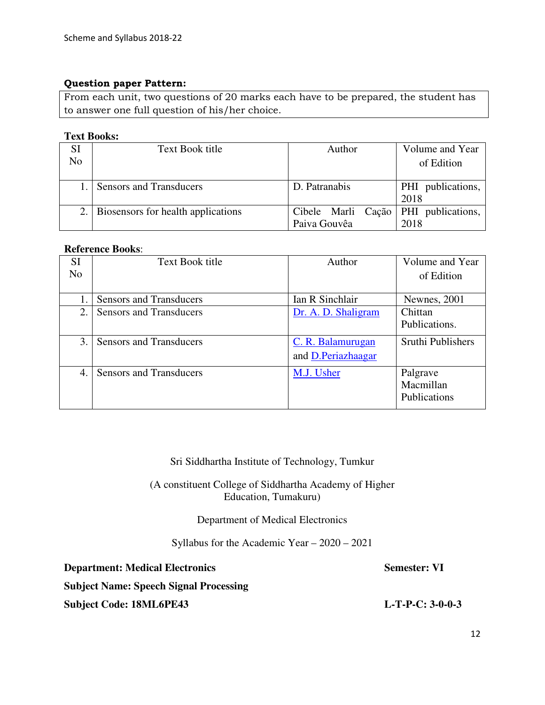### **Question paper Pattern:**

From each unit, two questions of 20 marks each have to be prepared, the student has to answer one full question of his/her choice.

#### **Text Books:**

|                | Text Book title                           | Author             | Volume and Year   |
|----------------|-------------------------------------------|--------------------|-------------------|
| N <sub>o</sub> |                                           |                    | of Edition        |
|                |                                           |                    |                   |
|                | <b>Sensors and Transducers</b>            | D. Patranabis      | PHI publications, |
|                |                                           |                    | 2018              |
|                | <b>Biosensors for health applications</b> | Cibele Marli Cação | PHI publications, |
|                |                                           | Paiva Gouvêa       | 2018              |

#### **Reference Books**:

| <b>SI</b>   | Text Book title                | Author              | Volume and Year     |
|-------------|--------------------------------|---------------------|---------------------|
| No          |                                |                     | of Edition          |
|             |                                |                     |                     |
|             | <b>Sensors and Transducers</b> | Ian R Sinchlair     | Newnes, 2001        |
| 2.          | <b>Sensors and Transducers</b> | Dr. A. D. Shaligram | Chittan             |
|             |                                |                     | Publications.       |
| 3.          | <b>Sensors and Transducers</b> | C. R. Balamurugan   | Sruthi Publishers   |
|             |                                | and D.Periazhaagar  |                     |
| $\mathbf 4$ | <b>Sensors and Transducers</b> | M.J. Usher          | Palgrave            |
|             |                                |                     | Macmillan           |
|             |                                |                     | <b>Publications</b> |
|             |                                |                     |                     |

Sri Siddhartha Institute of Technology, Tumkur

(A constituent College of Siddhartha Academy of Higher Education, Tumakuru)

Department of Medical Electronics

Syllabus for the Academic Year – 2020 – 2021

**Department: Medical Electronics Semester: VI** 

**Subject Name: Speech Signal Processing** 

**Subject Code: 18ML6PE43 L-T-P-C: 3-0-0-3**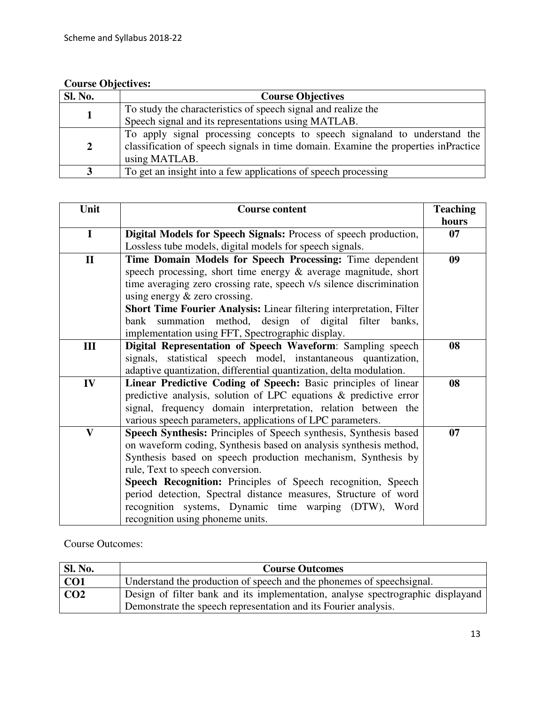## **Course Objectives:**

| <b>Sl. No.</b> | <b>Course Objectives</b>                                                           |  |
|----------------|------------------------------------------------------------------------------------|--|
|                | To study the characteristics of speech signal and realize the                      |  |
|                | Speech signal and its representations using MATLAB.                                |  |
|                | To apply signal processing concepts to speech signal and to understand the         |  |
| 2              | classification of speech signals in time domain. Examine the properties inPractice |  |
|                | using MATLAB.                                                                      |  |
|                | To get an insight into a few applications of speech processing                     |  |

| Unit           | <b>Course content</b>                                                       |       |
|----------------|-----------------------------------------------------------------------------|-------|
|                |                                                                             | hours |
| $\mathbf I$    | Digital Models for Speech Signals: Process of speech production,            | 07    |
|                | Lossless tube models, digital models for speech signals.                    |       |
| $\mathbf H$    | Time Domain Models for Speech Processing: Time dependent                    | 09    |
|                | speech processing, short time energy & average magnitude, short             |       |
|                | time averaging zero crossing rate, speech v/s silence discrimination        |       |
|                | using energy $&$ zero crossing.                                             |       |
|                | <b>Short Time Fourier Analysis:</b> Linear filtering interpretation, Filter |       |
|                | bank summation method, design of digital filter banks,                      |       |
|                | implementation using FFT, Spectrographic display.                           |       |
| $\mathbf{III}$ | Digital Representation of Speech Waveform: Sampling speech                  | 08    |
|                | signals, statistical speech model, instantaneous quantization,              |       |
|                | adaptive quantization, differential quantization, delta modulation.         |       |
| IV             | Linear Predictive Coding of Speech: Basic principles of linear              | 08    |
|                | predictive analysis, solution of LPC equations & predictive error           |       |
|                | signal, frequency domain interpretation, relation between the               |       |
|                | various speech parameters, applications of LPC parameters.                  |       |
| $\mathbf{V}$   | Speech Synthesis: Principles of Speech synthesis, Synthesis based           | 07    |
|                | on waveform coding, Synthesis based on analysis synthesis method,           |       |
|                | Synthesis based on speech production mechanism, Synthesis by                |       |
|                | rule, Text to speech conversion.                                            |       |
|                | Speech Recognition: Principles of Speech recognition, Speech                |       |
|                | period detection, Spectral distance measures, Structure of word             |       |
|                | recognition systems, Dynamic time warping (DTW), Word                       |       |
|                | recognition using phoneme units.                                            |       |

Course Outcomes:

| Sl. No.         | <b>Course Outcomes</b>                                                          |  |
|-----------------|---------------------------------------------------------------------------------|--|
| CO <sub>1</sub> | Understand the production of speech and the phonemes of speechsignal.           |  |
| CO <sub>2</sub> | Design of filter bank and its implementation, analyse spectrographic displayand |  |
|                 | Demonstrate the speech representation and its Fourier analysis.                 |  |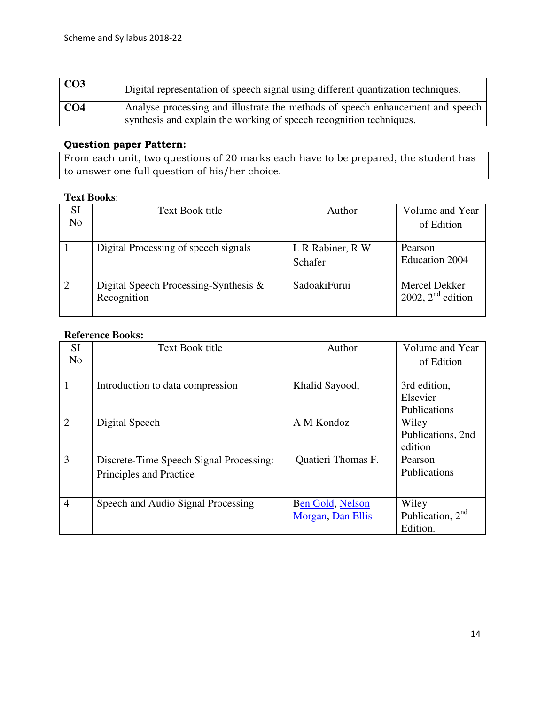| CO3             | Digital representation of speech signal using different quantization techniques.                                                                      |
|-----------------|-------------------------------------------------------------------------------------------------------------------------------------------------------|
| CO <sub>4</sub> | Analyse processing and illustrate the methods of speech enhancement and speech<br>synthesis and explain the working of speech recognition techniques. |
|                 |                                                                                                                                                       |

## **Question paper Pattern:**

From each unit, two questions of 20 marks each have to be prepared, the student has to answer one full question of his/her choice.

## **Text Books**:

| <b>SI</b>      | Text Book title                                         | Author                      | Volume and Year                      |
|----------------|---------------------------------------------------------|-----------------------------|--------------------------------------|
| N <sub>0</sub> |                                                         |                             | of Edition                           |
|                | Digital Processing of speech signals                    | L R Rabiner, R W<br>Schafer | Pearson<br>Education 2004            |
| $\overline{2}$ | Digital Speech Processing-Synthesis $\&$<br>Recognition | SadoakiFurui                | Mercel Dekker<br>2002, $2nd$ edition |

| <b>SI</b><br>N <sub>o</sub> | Text Book title                                                    | Author                                | Volume and Year<br>of Edition            |
|-----------------------------|--------------------------------------------------------------------|---------------------------------------|------------------------------------------|
|                             | Introduction to data compression                                   | Khalid Sayood,                        | 3rd edition,<br>Elsevier<br>Publications |
| $\overline{2}$              | Digital Speech                                                     | A M Kondoz                            | Wiley<br>Publications, 2nd<br>edition    |
| 3                           | Discrete-Time Speech Signal Processing:<br>Principles and Practice | Quatieri Thomas F.                    | Pearson<br><b>Publications</b>           |
| $\overline{4}$              | Speech and Audio Signal Processing                                 | Ben Gold, Nelson<br>Morgan, Dan Ellis | Wiley<br>Publication, $2nd$<br>Edition.  |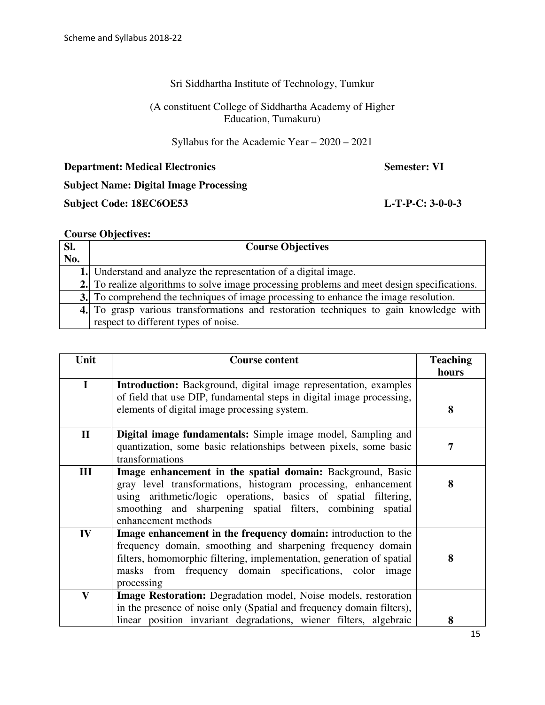#### (A constituent College of Siddhartha Academy of Higher Education, Tumakuru)

## Syllabus for the Academic Year – 2020 – 2021

**Department: Medical Electronics Semester: VI** 

**Subject Name: Digital Image Processing** 

**Subject Code: 18EC6OE53 L-T-P-C: 3-0-0-3** 

| Sl. | <b>Course Objectives</b>                                                                    |  |
|-----|---------------------------------------------------------------------------------------------|--|
| No. |                                                                                             |  |
|     | <b>1.</b> Understand and analyze the representation of a digital image.                     |  |
|     | 2. To realize algorithms to solve image processing problems and meet design specifications. |  |
|     | 3. To comprehend the techniques of image processing to enhance the image resolution.        |  |
|     | 4. To grasp various transformations and restoration techniques to gain knowledge with       |  |
|     | respect to different types of noise.                                                        |  |

| Unit         | <b>Course content</b>                                                   | <b>Teaching</b> |
|--------------|-------------------------------------------------------------------------|-----------------|
|              |                                                                         | hours           |
| $\mathbf I$  | <b>Introduction:</b> Background, digital image representation, examples |                 |
|              | of field that use DIP, fundamental steps in digital image processing,   |                 |
|              | elements of digital image processing system.                            | 8               |
| $\mathbf{I}$ | Digital image fundamentals: Simple image model, Sampling and            |                 |
|              | quantization, some basic relationships between pixels, some basic       | 7               |
|              | transformations                                                         |                 |
| III          | Image enhancement in the spatial domain: Background, Basic              |                 |
|              | gray level transformations, histogram processing, enhancement           | 8               |
|              | using arithmetic/logic operations, basics of spatial filtering,         |                 |
|              | smoothing and sharpening spatial filters, combining spatial             |                 |
|              | enhancement methods                                                     |                 |
| IV           | Image enhancement in the frequency domain: introduction to the          |                 |
|              | frequency domain, smoothing and sharpening frequency domain             |                 |
|              | filters, homomorphic filtering, implementation, generation of spatial   | 8               |
|              | masks from frequency domain specifications, color image                 |                 |
|              | processing                                                              |                 |
| $\mathbf{V}$ | <b>Image Restoration:</b> Degradation model, Noise models, restoration  |                 |
|              | in the presence of noise only (Spatial and frequency domain filters),   |                 |
|              | linear position invariant degradations, wiener filters, algebraic       | 8               |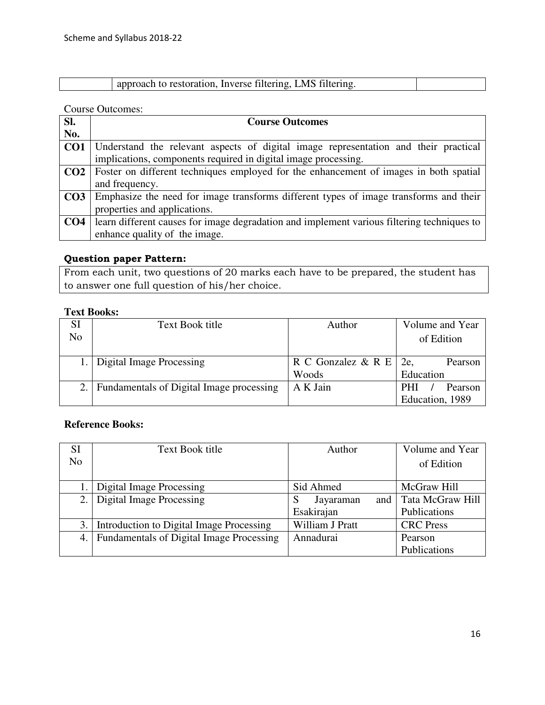| approach to restoration, Inverse filtering, LMS filtering. |  |
|------------------------------------------------------------|--|
|                                                            |  |

| SI.             | <b>Course Outcomes</b>                                                                     |
|-----------------|--------------------------------------------------------------------------------------------|
| No.             |                                                                                            |
| CO <sub>1</sub> | Understand the relevant aspects of digital image representation and their practical        |
|                 | implications, components required in digital image processing.                             |
| CO2             | Foster on different techniques employed for the enhancement of images in both spatial      |
|                 | and frequency.                                                                             |
| CO <sub>3</sub> | Emphasize the need for image transforms different types of image transforms and their      |
|                 | properties and applications.                                                               |
| CO <sub>4</sub> | learn different causes for image degradation and implement various filtering techniques to |
|                 | enhance quality of the image.                                                              |

## **Question paper Pattern:**

From each unit, two questions of 20 marks each have to be prepared, the student has to answer one full question of his/her choice.

#### **Text Books:**

|                | Text Book title                          | Author                    | Volume and Year       |
|----------------|------------------------------------------|---------------------------|-----------------------|
| N <sub>o</sub> |                                          |                           | of Edition            |
|                |                                          |                           |                       |
|                | 1. Digital Image Processing              | R C Gonzalez & R E $2e$ , | Pearson               |
|                |                                          | Woods                     | Education             |
|                | Fundamentals of Digital Image processing | A K Jain                  | <b>PHI</b><br>Pearson |
|                |                                          |                           | Education, 1989       |

| <b>SI</b>      | Text Book title                          | Author                | Volume and Year  |
|----------------|------------------------------------------|-----------------------|------------------|
| N <sub>0</sub> |                                          |                       | of Edition       |
|                |                                          |                       |                  |
|                | Digital Image Processing                 | Sid Ahmed             | McGraw Hill      |
| 2.1            | Digital Image Processing                 | and<br>Jayaraman<br>S | Tata McGraw Hill |
|                |                                          | Esakirajan            | Publications     |
| 3.             | Introduction to Digital Image Processing | William J Pratt       | <b>CRC</b> Press |
| 4.             | Fundamentals of Digital Image Processing | Annadurai             | Pearson          |
|                |                                          |                       | Publications     |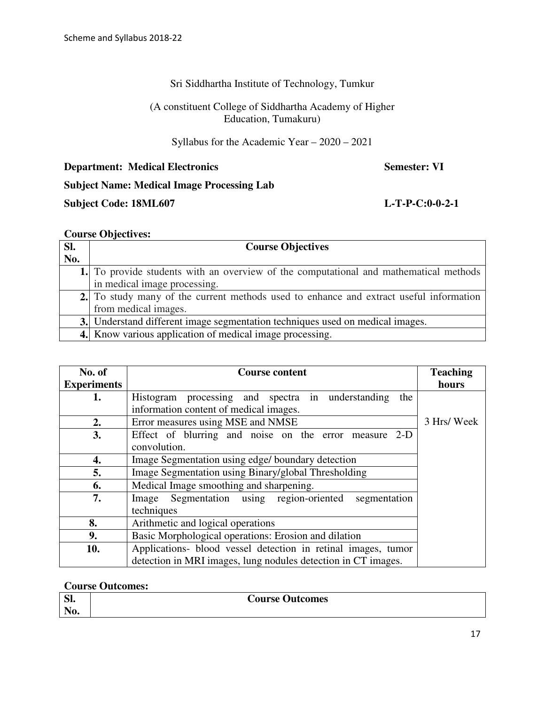#### (A constituent College of Siddhartha Academy of Higher Education, Tumakuru)

## Syllabus for the Academic Year – 2020 – 2021

**Department: Medical Electronics Semester: VI** 

# **Subject Name: Medical Image Processing Lab**

**Subject Code: 18ML607 L-T-P-C:0-0-2-1** 

#### **Course Objectives:**

| SI. | <b>Course Objectives</b>                                                               |  |
|-----|----------------------------------------------------------------------------------------|--|
| No. |                                                                                        |  |
|     | 1. To provide students with an overview of the computational and mathematical methods  |  |
|     | in medical image processing.                                                           |  |
|     | 2. To study many of the current methods used to enhance and extract useful information |  |
|     | from medical images.                                                                   |  |
|     | 3. Understand different image segmentation techniques used on medical images.          |  |
|     | 4. Know various application of medical image processing.                               |  |

| No. of             | <b>Course content</b>                                         | <b>Teaching</b> |  |
|--------------------|---------------------------------------------------------------|-----------------|--|
| <b>Experiments</b> |                                                               | hours           |  |
| 1.                 | Histogram processing and spectra in understanding<br>the      |                 |  |
|                    | information content of medical images.                        |                 |  |
| 2.                 | Error measures using MSE and NMSE                             | 3 Hrs/Week      |  |
| 3.                 | Effect of blurring and noise on the error measure 2-D         |                 |  |
|                    | convolution.                                                  |                 |  |
| 4.                 | Image Segmentation using edge/boundary detection              |                 |  |
| 5.                 | Image Segmentation using Binary/global Thresholding           |                 |  |
| 6.                 | Medical Image smoothing and sharpening.                       |                 |  |
| 7.                 | Image Segmentation using region-oriented<br>segmentation      |                 |  |
|                    | techniques                                                    |                 |  |
| 8.                 | Arithmetic and logical operations                             |                 |  |
| 9.                 | Basic Morphological operations: Erosion and dilation          |                 |  |
| 10.                | Applications- blood vessel detection in retinal images, tumor |                 |  |
|                    | detection in MRI images, lung nodules detection in CT images. |                 |  |

#### **Course Outcomes:**

| SI.       | <b>Course Outcomes</b> |
|-----------|------------------------|
| N<br>110. |                        |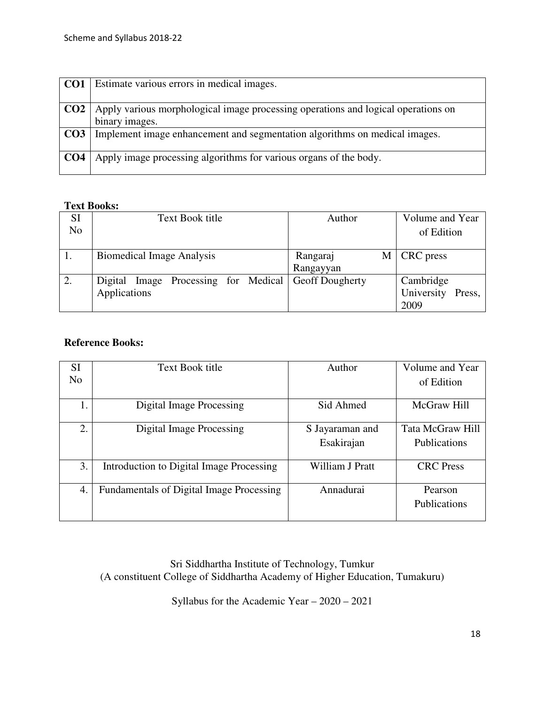| CO1             | <b>Estimate various errors in medical images.</b>                                                   |
|-----------------|-----------------------------------------------------------------------------------------------------|
| CO2             | Apply various morphological image processing operations and logical operations on<br>binary images. |
|                 | <b>CO3</b>   Implement image enhancement and segmentation algorithms on medical images.             |
| CO <sub>4</sub> | Apply image processing algorithms for various organs of the body.                                   |

#### **Text Books:**

| <b>SI</b>      | Text Book title                                         | Author                 | Volume and Year                           |
|----------------|---------------------------------------------------------|------------------------|-------------------------------------------|
| N <sub>o</sub> |                                                         |                        | of Edition                                |
|                | <b>Biomedical Image Analysis</b>                        | Rangaraj<br>Rangayyan  | M CRC press                               |
|                | Image Processing for Medical<br>Digital<br>Applications | <b>Geoff Dougherty</b> | Cambridge<br>University<br>Press,<br>2009 |

#### **Reference Books:**

| <b>SI</b>      | Text Book title                                 | Author          | Volume and Year     |
|----------------|-------------------------------------------------|-----------------|---------------------|
| N <sub>o</sub> |                                                 |                 | of Edition          |
|                |                                                 |                 |                     |
| 1.             | <b>Digital Image Processing</b>                 | Sid Ahmed       | McGraw Hill         |
| 2.             | Digital Image Processing                        | S Jayaraman and | Tata McGraw Hill    |
|                |                                                 | Esakirajan      | <b>Publications</b> |
| 3.             | Introduction to Digital Image Processing        | William J Pratt | <b>CRC</b> Press    |
| 4.             | <b>Fundamentals of Digital Image Processing</b> | Annadurai       | Pearson             |
|                |                                                 |                 | Publications        |

Sri Siddhartha Institute of Technology, Tumkur (A constituent College of Siddhartha Academy of Higher Education, Tumakuru)

Syllabus for the Academic Year – 2020 – 2021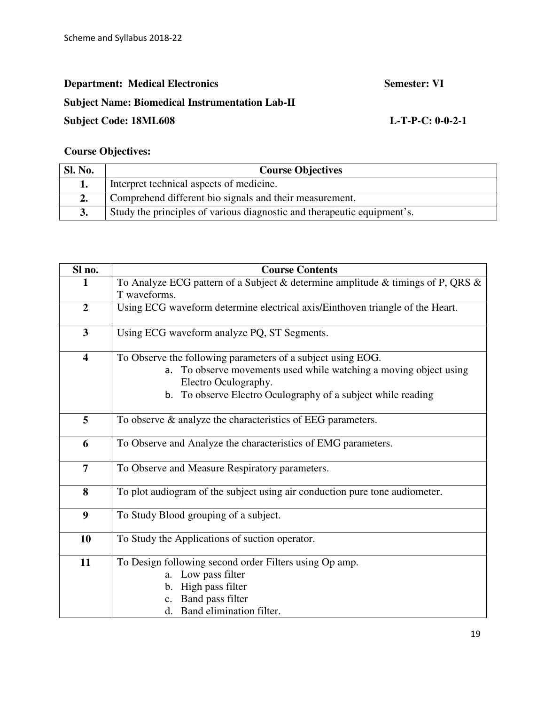## **Department: Medical Electronics Semester: VI**

**Subject Name: Biomedical Instrumentation Lab-II** 

# **Subject Code: 18ML608 L-T-P-C: 0-0-2-1**

| <b>Sl. No.</b> | <b>Course Objectives</b>                                                |  |
|----------------|-------------------------------------------------------------------------|--|
|                | Interpret technical aspects of medicine.                                |  |
| 2.             | Comprehend different bio signals and their measurement.                 |  |
| 3.             | Study the principles of various diagnostic and therapeutic equipment's. |  |

| Sl no.                  | <b>Course Contents</b>                                                          |  |
|-------------------------|---------------------------------------------------------------------------------|--|
| 1                       | To Analyze ECG pattern of a Subject & determine amplitude & timings of P, QRS & |  |
|                         | T waveforms.                                                                    |  |
| $\overline{2}$          | Using ECG waveform determine electrical axis/Einthoven triangle of the Heart.   |  |
|                         |                                                                                 |  |
| $\overline{\mathbf{3}}$ | Using ECG waveform analyze PQ, ST Segments.                                     |  |
|                         |                                                                                 |  |
| $\overline{\mathbf{4}}$ | To Observe the following parameters of a subject using EOG.                     |  |
|                         | To observe movements used while watching a moving object using<br>a.            |  |
|                         | Electro Oculography.                                                            |  |
|                         | b. To observe Electro Oculography of a subject while reading                    |  |
|                         |                                                                                 |  |
| 5                       | To observe & analyze the characteristics of EEG parameters.                     |  |
| 6                       | To Observe and Analyze the characteristics of EMG parameters.                   |  |
|                         |                                                                                 |  |
| $\overline{7}$          | To Observe and Measure Respiratory parameters.                                  |  |
|                         |                                                                                 |  |
| 8                       | To plot audiogram of the subject using air conduction pure tone audiometer.     |  |
|                         |                                                                                 |  |
| 9                       | To Study Blood grouping of a subject.                                           |  |
|                         |                                                                                 |  |
| 10                      | To Study the Applications of suction operator.                                  |  |
|                         |                                                                                 |  |
| 11                      | To Design following second order Filters using Op amp.                          |  |
|                         | a. Low pass filter                                                              |  |
|                         | b. High pass filter                                                             |  |
|                         | c. Band pass filter                                                             |  |
|                         | d. Band elimination filter.                                                     |  |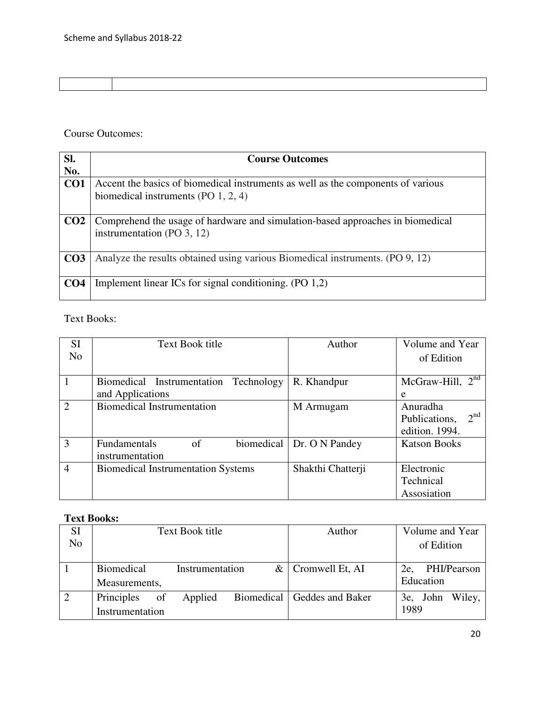| SI.             | <b>Course Outcomes</b>                                                                                                     |  |
|-----------------|----------------------------------------------------------------------------------------------------------------------------|--|
| No.             |                                                                                                                            |  |
| CO <sub>1</sub> | Accent the basics of biomedical instruments as well as the components of various<br>biomedical instruments (PO $1, 2, 4$ ) |  |
| CO <sub>2</sub> | Comprehend the usage of hardware and simulation-based approaches in biomedical<br>instrumentation (PO $3, 12$ )            |  |
| CO <sub>3</sub> | Analyze the results obtained using various Biomedical instruments. (PO 9, 12)                                              |  |
| CO <sub>4</sub> | Implement linear ICs for signal conditioning. (PO 1,2)                                                                     |  |

## Text Books:

| <b>SI</b>                   | <b>Text Book title</b>                    | Author            | Volume and Year                  |
|-----------------------------|-------------------------------------------|-------------------|----------------------------------|
| N <sub>o</sub>              |                                           |                   | of Edition                       |
|                             |                                           |                   |                                  |
|                             | Technology<br>Biomedical Instrumentation  | R. Khandpur       | McGraw-Hill, $2nd$               |
|                             | and Applications                          |                   | e                                |
| $\mathcal{D}_{\mathcal{L}}$ | <b>Biomedical Instrumentation</b>         | M Armugam         | Anuradha                         |
|                             |                                           |                   | 2 <sup>nd</sup><br>Publications, |
|                             |                                           |                   | edition. 1994.                   |
| 3                           | Fundamentals<br>of<br>biomedical          | Dr. O N Pandey    | <b>Katson Books</b>              |
|                             | instrumentation                           |                   |                                  |
| $\overline{4}$              | <b>Biomedical Instrumentation Systems</b> | Shakthi Chatterji | Electronic                       |
|                             |                                           |                   | Technical                        |
|                             |                                           |                   | Assosiation                      |

## **Text Books:**

| Sl             | Text Book title   |    |                 |   | Author                        | Volume and Year    |
|----------------|-------------------|----|-----------------|---|-------------------------------|--------------------|
| N <sub>o</sub> |                   |    |                 |   |                               | of Edition         |
|                |                   |    |                 |   |                               |                    |
|                | <b>Biomedical</b> |    | Instrumentation | & | Cromwell Et, AI               | PHI/Pearson<br>2e, |
|                | Measurements,     |    |                 |   |                               | Education          |
|                | Principles        | of | Applied         |   | Biomedical   Geddes and Baker | 3e, John Wiley,    |
|                | Instrumentation   |    |                 |   |                               | 1989               |